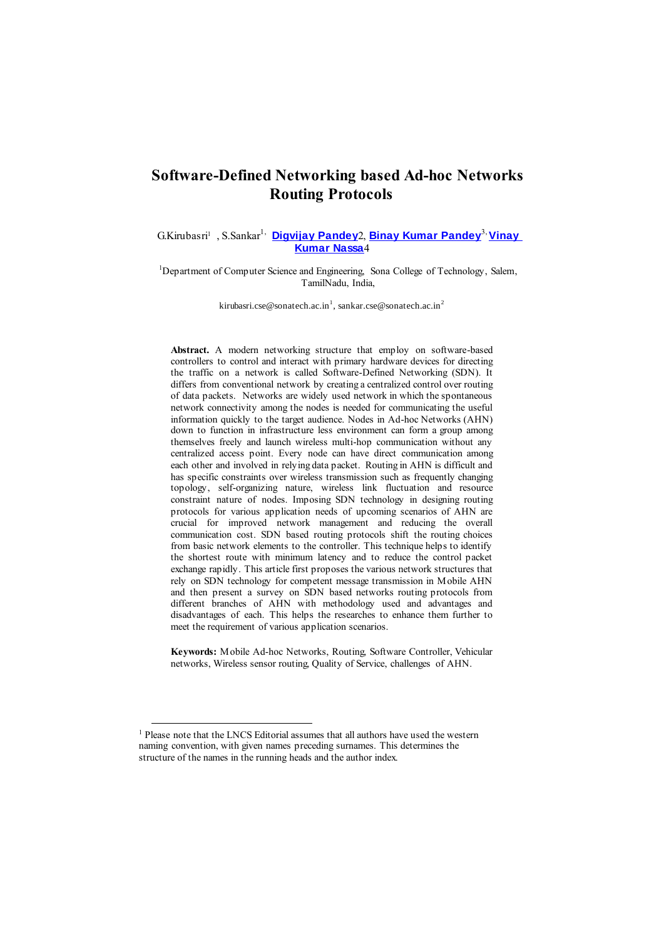# **Software-Defined Networking based Ad-hoc Networks Routing Protocols**

G.Kirubasri<sup>1</sup> , S.Sankar1, **[Digvijay](https://www.researchgate.net/profile/Digvijay-Pandey) Pandey**2, **Binay Kumar [Pandey](https://www.researchgate.net/profile/Binay-Pandey-4)**3, **[Vinay](https://www.researchgate.net/profile/Vinay-Nassa) [Kumar](https://www.researchgate.net/profile/Vinay-Nassa) Nassa**4

<sup>1</sup>Department of Computer Science and Engineering, Sona College of Technology, Salem, TamilNadu, India,

k[irubasri.cse@sonatech.ac.in](mailto:kirubasri.cse@sonatech.ac.in1)<sup>1</sup>, sankar.cse@sonatech.ac.in<sup>2</sup>

**Abstract.** A modern networking structure that employ on software-based controllers to control and interact with primary hardware devices for directing the traffic on a network is called Software-Defined Networking (SDN). It differs from conventional network by creating a centralized control over routing of data packets. Networks are widely used network in which the spontaneous network connectivity among the nodes is needed for communicating the useful information quickly to the target audience. Nodes in Ad-hoc Networks (AHN) down to function in infrastructure less environment can form a group among themselves freely and launch wireless multi-hop communication without any centralized access point. Every node can have direct communication among each other and involved in relying data packet. Routing in AHN is difficult and has specific constraints over wireless transmission such as frequently changing topology, self-organizing nature, wireless link fluctuation and resource constraint nature of nodes. Imposing SDN technology in designing routing protocols for various application needs of upcoming scenarios of AHN are crucial for improved network management and reducing the overall communication cost. SDN based routing protocols shift the routing choices from basic network elements to the controller. This technique helps to identify the shortest route with minimum latency and to reduce the control packet exchange rapidly. This article first proposes the various network structures that rely on SDN technology for competent message transmission in Mobile AHN and then present a survey on SDN based networks routing protocols from different branches of AHN with methodology used and advantages and disadvantages of each. This helps the researches to enhance them further to meet the requirement of various application scenarios.

**Keywords:** Mobile Ad-hoc Networks, Routing, Software Controller, Vehicular networks, Wireless sensor routing, Quality of Service, challenges of AHN.

l

<sup>&</sup>lt;sup>1</sup> Please note that the LNCS Editorial assumes that all authors have used the western naming convention, with given names preceding surnames. This determines the structure of the names in the running heads and the author index.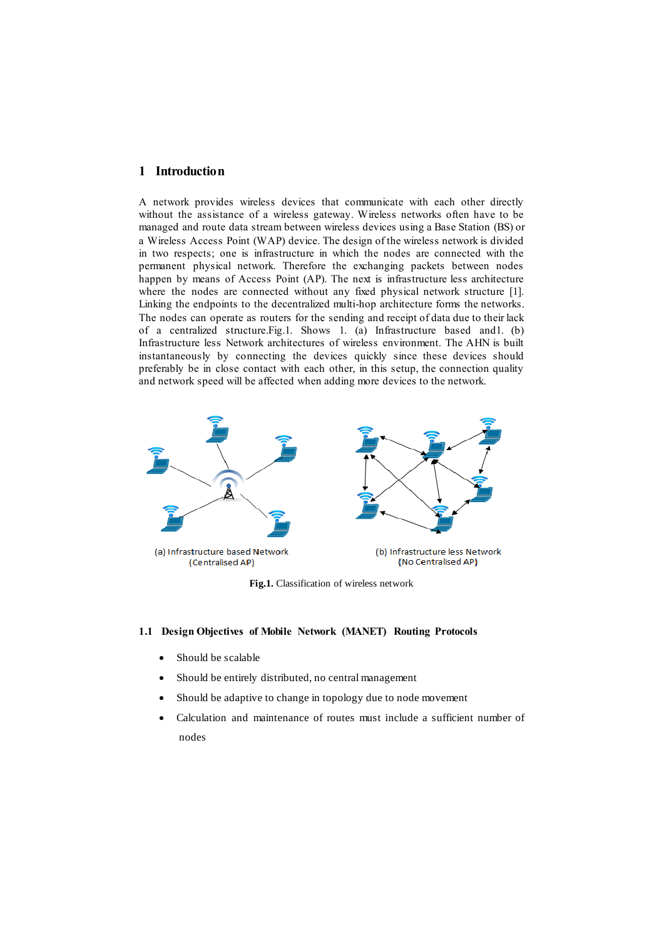## **1 Introduction**

A network provides wireless devices that communicate with each other directly without the assistance of a wireless gateway. Wireless networks often have to be managed and route data stream between wireless devices using a Base Station (BS) or a Wireless Access Point (WAP) device. The design of the wireless network is divided in two respects; one is infrastructure in which the nodes are connected with the permanent physical network. Therefore the exchanging packets between nodes happen by means of Access Point (AP). The next is infrastructure less architecture where the nodes are connected without any fixed physical network structure [1]. Linking the endpoints to the decentralized multi-hop architecture forms the networks. The nodes can operate as routers for the sending and receipt of data due to their lack of a centralized structure.Fig.1. Shows 1. (a) Infrastructure based and1. (b) Infrastructure less Network architectures of wireless environment. The AHN is built instantaneously by connecting the devices quickly since these devices should preferably be in close contact with each other, in this setup, the connection quality and network speed will be affected when adding more devices to the network.



**Fig.1.** Classification of wireless network

## **1.1 Design Objectives of Mobile Network (MANET) Routing Protocols**

- Should be scalable
- Should be entirely distributed, no central management
- Should be adaptive to change in topology due to node movement
- Calculation and maintenance of routes must include a sufficient number of nodes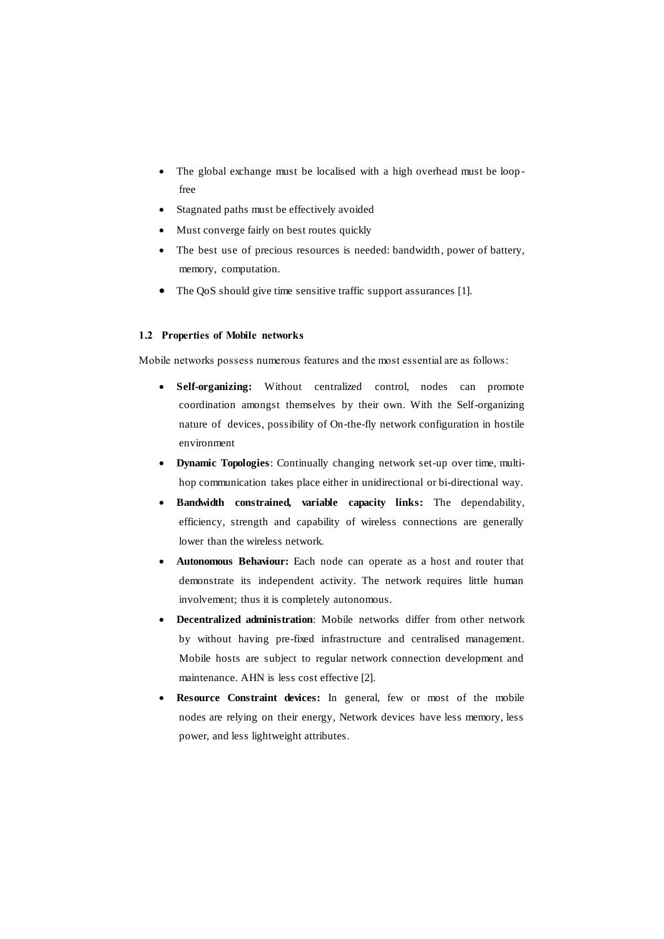- The global exchange must be localised with a high overhead must be loop free
- Stagnated paths must be effectively avoided
- Must converge fairly on best routes quickly
- The best use of precious resources is needed: bandwidth, power of battery, memory, computation.
- The QoS should give time sensitive traffic support assurances [1].

### **1.2 Properties of Mobile networks**

Mobile networks possess numerous features and the most essential are as follows:

- **Self-organizing:** Without centralized control, nodes can promote coordination amongst themselves by their own. With the Self-organizing nature of devices, possibility of On-the-fly network configuration in hostile environment
- **Dynamic Topologies**: Continually changing network set-up over time, multihop communication takes place either in unidirectional or bi-directional way.
- **Bandwidth constrained, variable capacity links:** The dependability, efficiency, strength and capability of wireless connections are generally lower than the wireless network.
- **Autonomous Behaviour:** Each node can operate as a host and router that demonstrate its independent activity. The network requires little human involvement; thus it is completely autonomous.
- **Decentralized administration**: Mobile networks differ from other network by without having pre-fixed infrastructure and centralised management. Mobile hosts are subject to regular network connection development and maintenance. AHN is less cost effective [2].
- **Resource Constraint devices:** In general, few or most of the mobile nodes are relying on their energy, Network devices have less memory, less power, and less lightweight attributes.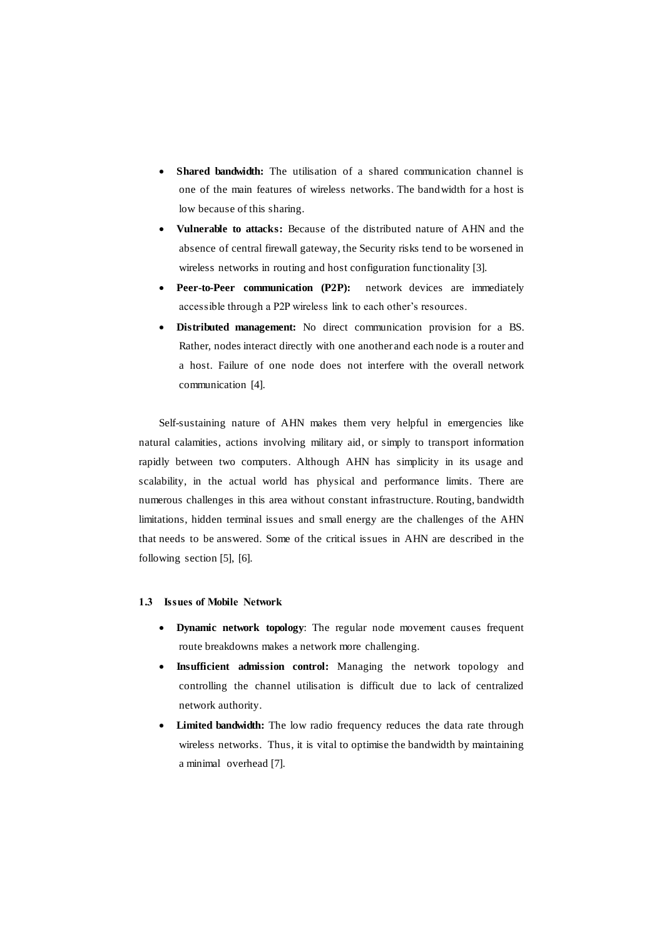- **Shared bandwidth:** The utilisation of a shared communication channel is one of the main features of wireless networks. The bandwidth for a host is low because of this sharing.
- **Vulnerable to attacks:** Because of the distributed nature of AHN and the absence of central firewall gateway, the Security risks tend to be worsened in wireless networks in routing and host configuration functionality [3].
- Peer-to-Peer communication (P2P): network devices are immediately accessible through a P2P wireless link to each other's resources.
- **Distributed management:** No direct communication provision for a BS. Rather, nodes interact directly with one another and each node is a router and a host. Failure of one node does not interfere with the overall network communication [4].

Self-sustaining nature of AHN makes them very helpful in emergencies like natural calamities, actions involving military aid, or simply to transport information rapidly between two computers. Although AHN has simplicity in its usage and scalability, in the actual world has physical and performance limits. There are numerous challenges in this area without constant infrastructure. Routing, bandwidth limitations, hidden terminal issues and small energy are the challenges of the AHN that needs to be answered. Some of the critical issues in AHN are described in the following section [5], [6].

## **1.3 Issues of Mobile Network**

- **Dynamic network topology**: The regular node movement causes frequent route breakdowns makes a network more challenging.
- **Insufficient admission control:** Managing the network topology and controlling the channel utilisation is difficult due to lack of centralized network authority.
- **Limited bandwidth:** The low radio frequency reduces the data rate through wireless networks. Thus, it is vital to optimise the bandwidth by maintaining a minimal overhead [7].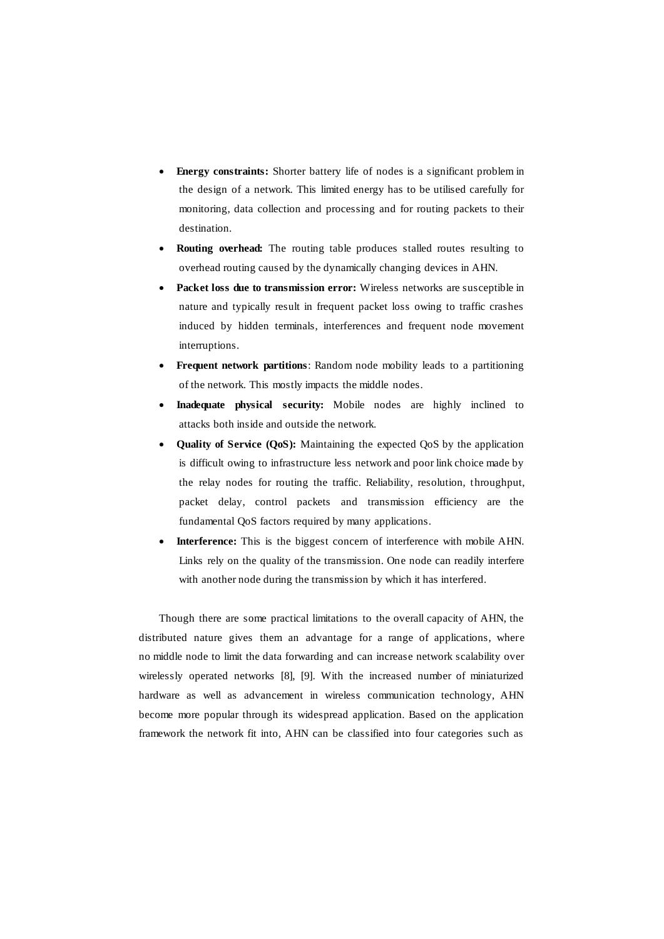- **Energy constraints:** Shorter battery life of nodes is a significant problem in the design of a network. This limited energy has to be utilised carefully for monitoring, data collection and processing and for routing packets to their destination.
- **Routing overhead:** The routing table produces stalled routes resulting to overhead routing caused by the dynamically changing devices in AHN.
- **Packet loss due to transmission error:** Wireless networks are susceptible in nature and typically result in frequent packet loss owing to traffic crashes induced by hidden terminals, interferences and frequent node movement interruptions.
- **Frequent network partitions**: Random node mobility leads to a partitioning of the network. This mostly impacts the middle nodes.
- **Inadequate physical security:** Mobile nodes are highly inclined to attacks both inside and outside the network.
- **Quality of Service (QoS):** Maintaining the expected QoS by the application is difficult owing to infrastructure less network and poor link choice made by the relay nodes for routing the traffic. Reliability, resolution, throughput, packet delay, control packets and transmission efficiency are the fundamental QoS factors required by many applications.
- **Interference:** This is the biggest concern of interference with mobile AHN. Links rely on the quality of the transmission. One node can readily interfere with another node during the transmission by which it has interfered.

Though there are some practical limitations to the overall capacity of AHN, the distributed nature gives them an advantage for a range of applications, where no middle node to limit the data forwarding and can increase network scalability over wirelessly operated networks [8], [9]. With the increased number of miniaturized hardware as well as advancement in wireless communication technology, AHN become more popular through its widespread application. Based on the application framework the network fit into, AHN can be classified into four categories such as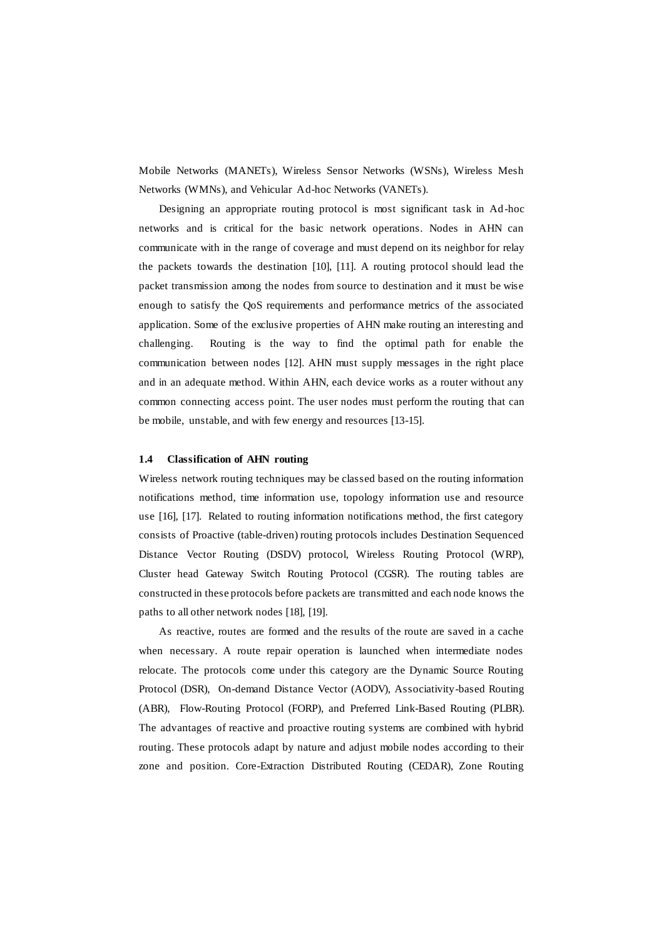Mobile Networks (MANETs), Wireless Sensor Networks (WSNs), Wireless Mesh Networks (WMNs), and Vehicular Ad-hoc Networks (VANETs).

Designing an appropriate routing protocol is most significant task in Ad -hoc networks and is critical for the basic network operations. Nodes in AHN can communicate with in the range of coverage and must depend on its neighbor for relay the packets towards the destination [10], [11]. A routing protocol should lead the packet transmission among the nodes from source to destination and it must be wise enough to satisfy the QoS requirements and performance metrics of the associated application. Some of the exclusive properties of AHN make routing an interesting and challenging. Routing is the way to find the optimal path for enable the communication between nodes [12]. AHN must supply messages in the right place and in an adequate method. Within AHN, each device works as a router without any common connecting access point. The user nodes must perform the routing that can be mobile, unstable, and with few energy and resources [13-15].

#### **1.4 Classification of AHN routing**

Wireless network routing techniques may be classed based on the routing information notifications method, time information use, topology information use and resource use [16], [17]. Related to routing information notifications method, the first category consists of Proactive (table-driven) routing protocols includes Destination Sequenced Distance Vector Routing (DSDV) protocol, Wireless Routing Protocol (WRP), Cluster head Gateway Switch Routing Protocol (CGSR). The routing tables are constructed in these protocols before packets are transmitted and each node knows the paths to all other network nodes [18], [19].

As reactive, routes are formed and the results of the route are saved in a cache when necessary. A route repair operation is launched when intermediate nodes relocate. The protocols come under this category are the Dynamic Source Routing Protocol (DSR), On-demand Distance Vector (AODV), Associativity-based Routing (ABR), Flow-Routing Protocol (FORP), and Preferred Link-Based Routing (PLBR). The advantages of reactive and proactive routing systems are combined with hybrid routing. These protocols adapt by nature and adjust mobile nodes according to their zone and position. Core-Extraction Distributed Routing (CEDAR), Zone Routing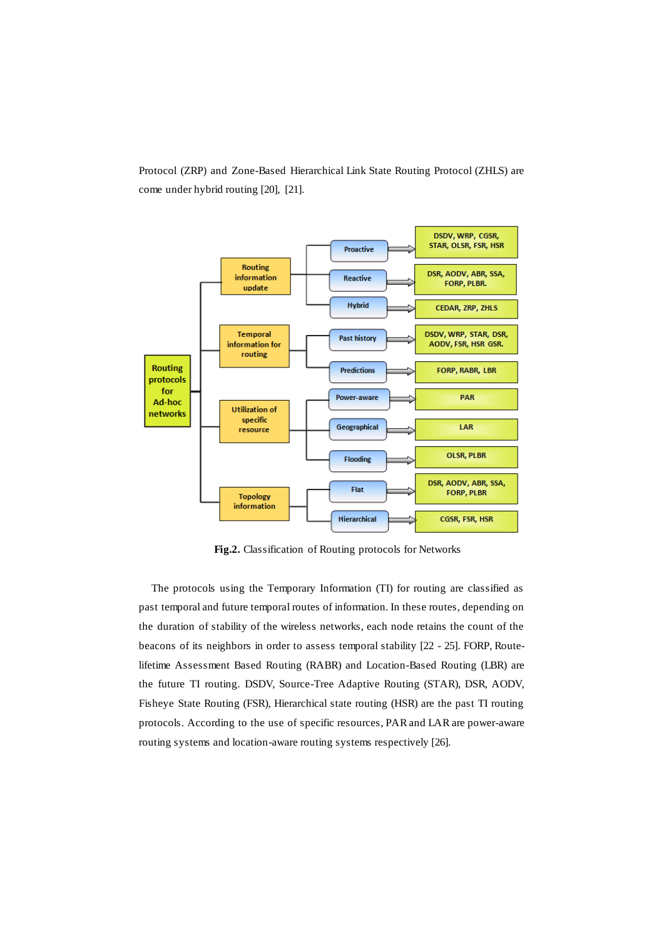Protocol (ZRP) and Zone-Based Hierarchical Link State Routing Protocol (ZHLS) are come under hybrid routing [20], [21].



**Fig.2.** Classification of Routing protocols for Networks

The protocols using the Temporary Information (TI) for routing are classified as past temporal and future temporal routes of information. In these routes, depending on the duration of stability of the wireless networks, each node retains the count of the beacons of its neighbors in order to assess temporal stability [22 - 25]. FORP, Routelifetime Assessment Based Routing (RABR) and Location-Based Routing (LBR) are the future TI routing. DSDV, Source-Tree Adaptive Routing (STAR), DSR, AODV, Fisheye State Routing (FSR), Hierarchical state routing (HSR) are the past TI routing protocols. According to the use of specific resources, PAR and LAR are power-aware routing systems and location-aware routing systems respectively [26].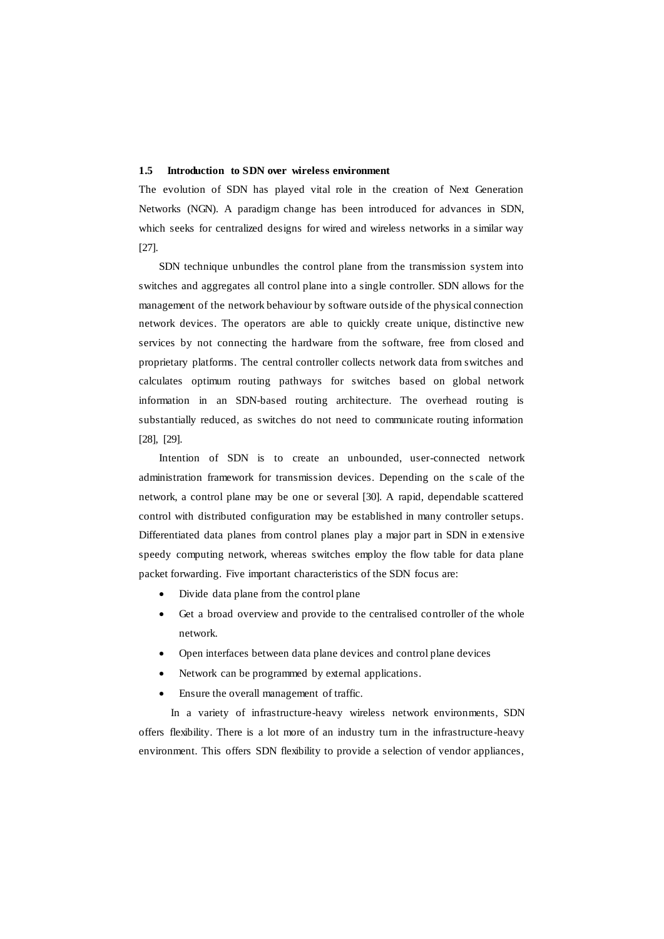#### **1.5 Introduction to SDN over wireless environment**

The evolution of SDN has played vital role in the creation of Next Generation Networks (NGN). A paradigm change has been introduced for advances in SDN, which seeks for centralized designs for wired and wireless networks in a similar way [27].

SDN technique unbundles the control plane from the transmission system into switches and aggregates all control plane into a single controller. SDN allows for the management of the network behaviour by software outside of the physical connection network devices. The operators are able to quickly create unique, distinctive new services by not connecting the hardware from the software, free from closed and proprietary platforms. The central controller collects network data from switches and calculates optimum routing pathways for switches based on global network information in an SDN-based routing architecture. The overhead routing is substantially reduced, as switches do not need to communicate routing information [28], [29].

Intention of SDN is to create an unbounded, user-connected network administration framework for transmission devices. Depending on the s cale of the network, a control plane may be one or several [30]. A rapid, dependable scattered control with distributed configuration may be established in many controller setups. Differentiated data planes from control planes play a major part in SDN in extensive speedy computing network, whereas switches employ the flow table for data plane packet forwarding. Five important characteristics of the SDN focus are:

- Divide data plane from the control plane
- Get a broad overview and provide to the centralised controller of the whole network.
- Open interfaces between data plane devices and control plane devices
- Network can be programmed by external applications.
- Ensure the overall management of traffic.

In a variety of infrastructure-heavy wireless network environments, SDN offers flexibility. There is a lot more of an industry turn in the infrastructure-heavy environment. This offers SDN flexibility to provide a selection of vendor appliances,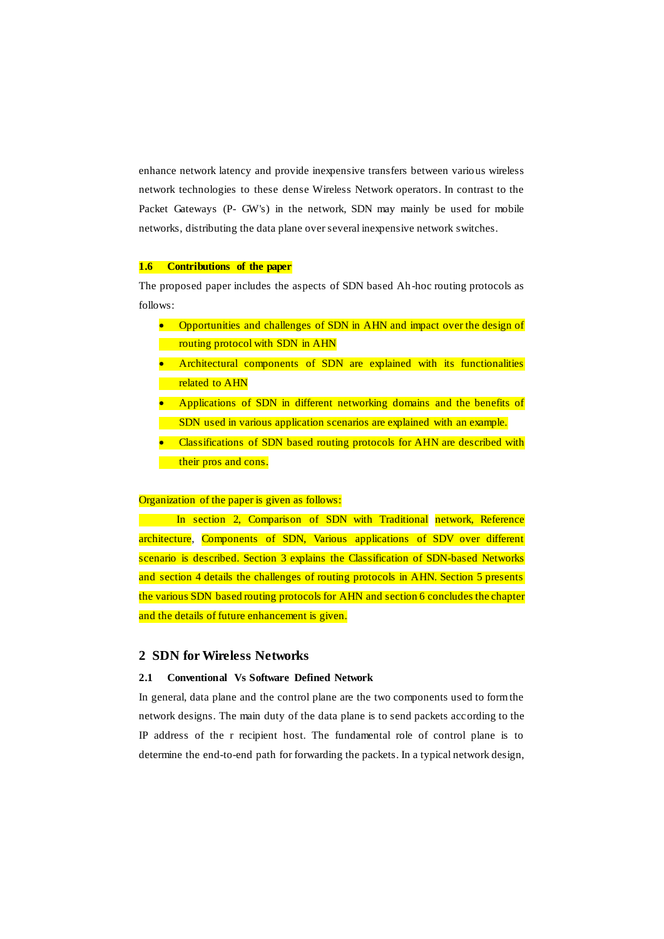enhance network latency and provide inexpensive transfers between vario us wireless network technologies to these dense Wireless Network operators. In contrast to the Packet Gateways (P- GW's) in the network, SDN may mainly be used for mobile networks, distributing the data plane over several inexpensive network switches.

### **1.6 Contributions of the paper**

The proposed paper includes the aspects of SDN based Ah-hoc routing protocols as follows:

- Opportunities and challenges of SDN in AHN and impact over the design of routing protocol with SDN in AHN
- Architectural components of SDN are explained with its functionalities related to AHN
- Applications of SDN in different networking domains and the benefits of SDN used in various application scenarios are explained with an example.
- Classifications of SDN based routing protocols for AHN are described with their pros and cons.

#### Organization of the paper is given as follows:

In section 2, Comparison of SDN with Traditional network, Reference architecture, Components of SDN, Various applications of SDV over different scenario is described. Section 3 explains the Classification of SDN-based Networks and section 4 details the challenges of routing protocols in AHN. Section 5 presents the various SDN based routing protocols for AHN and section 6 concludes the chapter and the details of future enhancement is given.

## **2 SDN for Wireless Networks**

## **2.1 Conventional Vs Software Defined Network**

In general, data plane and the control plane are the two components used to form the network designs. The main duty of the data plane is to send packets according to the IP address of the r recipient host. The fundamental role of control plane is to determine the end-to-end path for forwarding the packets. In a typical network design,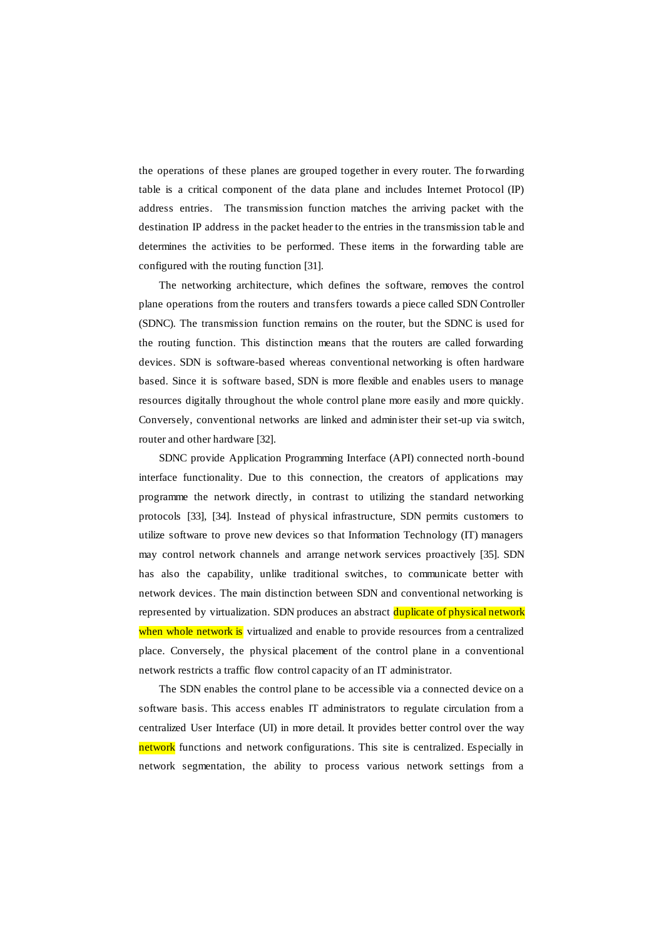the operations of these planes are grouped together in every router. The fo rwarding table is a critical component of the data plane and includes Internet Protocol (IP) address entries. The transmission function matches the arriving packet with the destination IP address in the packet header to the entries in the transmission tab le and determines the activities to be performed. These items in the forwarding table are configured with the routing function [31].

The networking architecture, which defines the software, removes the control plane operations from the routers and transfers towards a piece called SDN Controller (SDNC). The transmission function remains on the router, but the SDNC is used for the routing function. This distinction means that the routers are called forwarding devices. SDN is software-based whereas conventional networking is often hardware based. Since it is software based, SDN is more flexible and enables users to manage resources digitally throughout the whole control plane more easily and more quickly. Conversely, conventional networks are linked and administer their set-up via switch, router and other hardware [32].

SDNC provide Application Programming Interface (API) connected north-bound interface functionality. Due to this connection, the creators of applications may programme the network directly, in contrast to utilizing the standard networking protocols [33], [34]. Instead of physical infrastructure, SDN permits customers to utilize software to prove new devices so that Information Technology (IT) managers may control network channels and arrange network services proactively [35]. SDN has also the capability, unlike traditional switches, to communicate better with network devices. The main distinction between SDN and conventional networking is represented by virtualization. SDN produces an abstract duplicate of physical network when whole network is virtualized and enable to provide resources from a centralized place. Conversely, the physical placement of the control plane in a conventional network restricts a traffic flow control capacity of an IT administrator.

The SDN enables the control plane to be accessible via a connected device on a software basis. This access enables IT administrators to regulate circulation from a centralized User Interface (UI) in more detail. It provides better control over the way network functions and network configurations. This site is centralized. Especially in network segmentation, the ability to process various network settings from a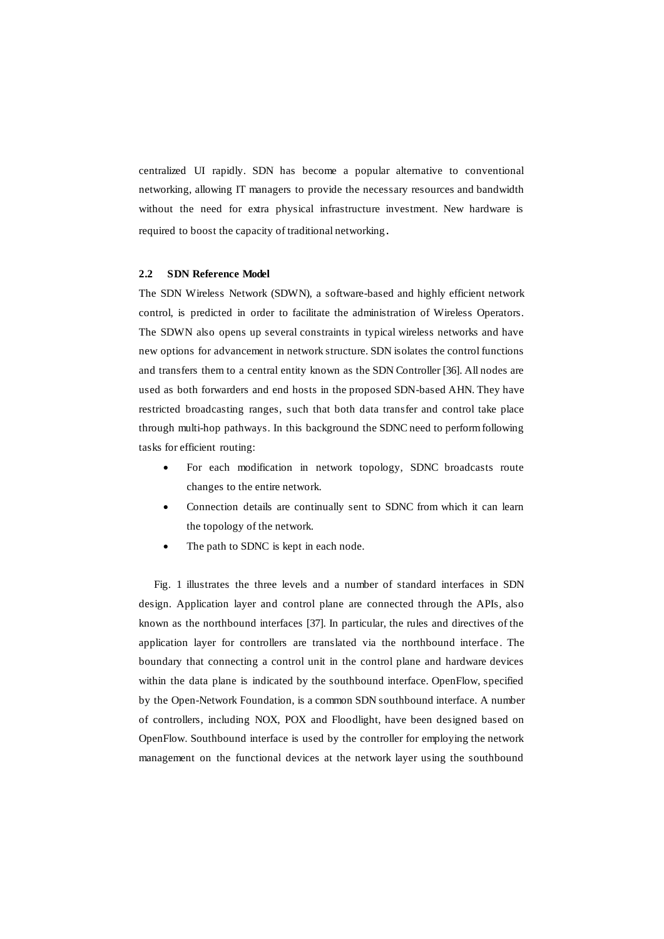centralized UI rapidly. SDN has become a popular alternative to conventional networking, allowing IT managers to provide the necessary resources and bandwidth without the need for extra physical infrastructure investment. New hardware is required to boost the capacity of traditional networking.

#### **2.2 SDN Reference Model**

The SDN Wireless Network (SDWN), a software-based and highly efficient network control, is predicted in order to facilitate the administration of Wireless Operators. The SDWN also opens up several constraints in typical wireless networks and have new options for advancement in network structure. SDN isolates the control functions and transfers them to a central entity known as the SDN Controller [36]. All nodes are used as both forwarders and end hosts in the proposed SDN-based AHN. They have restricted broadcasting ranges, such that both data transfer and control take place through multi-hop pathways. In this background the SDNC need to perform following tasks for efficient routing:

- For each modification in network topology, SDNC broadcasts route changes to the entire network.
- Connection details are continually sent to SDNC from which it can learn the topology of the network.
- The path to SDNC is kept in each node.

Fig. 1 illustrates the three levels and a number of standard interfaces in SDN design. Application layer and control plane are connected through the APIs, also known as the northbound interfaces [37]. In particular, the rules and directives of the application layer for controllers are translated via the northbound interface . The boundary that connecting a control unit in the control plane and hardware devices within the data plane is indicated by the southbound interface. OpenFlow, specified by the Open-Network Foundation, is a common SDN southbound interface. A number of controllers, including NOX, POX and Floodlight, have been designed based on OpenFlow. Southbound interface is used by the controller for employing the network management on the functional devices at the network layer using the southbound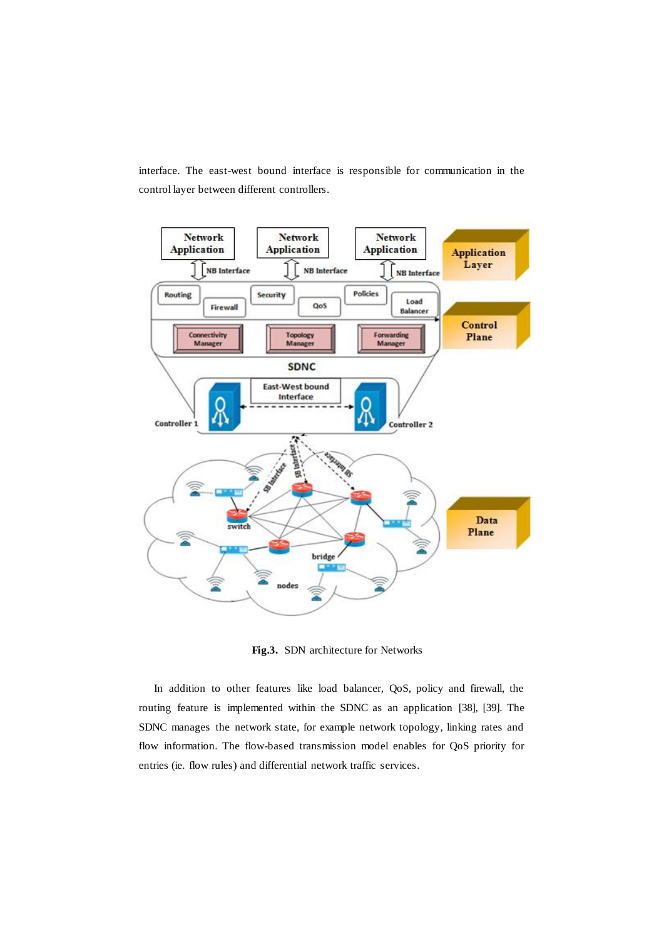interface. The east-west bound interface is responsible for communication in the control layer between different controllers.



**Fig.3.** SDN architecture for Networks

In addition to other features like load balancer, QoS, policy and firewall, the routing feature is implemented within the SDNC as an application [38], [39]. The SDNC manages the network state, for example network topology, linking rates and flow information. The flow-based transmission model enables for QoS priority for entries (ie. flow rules) and differential network traffic services.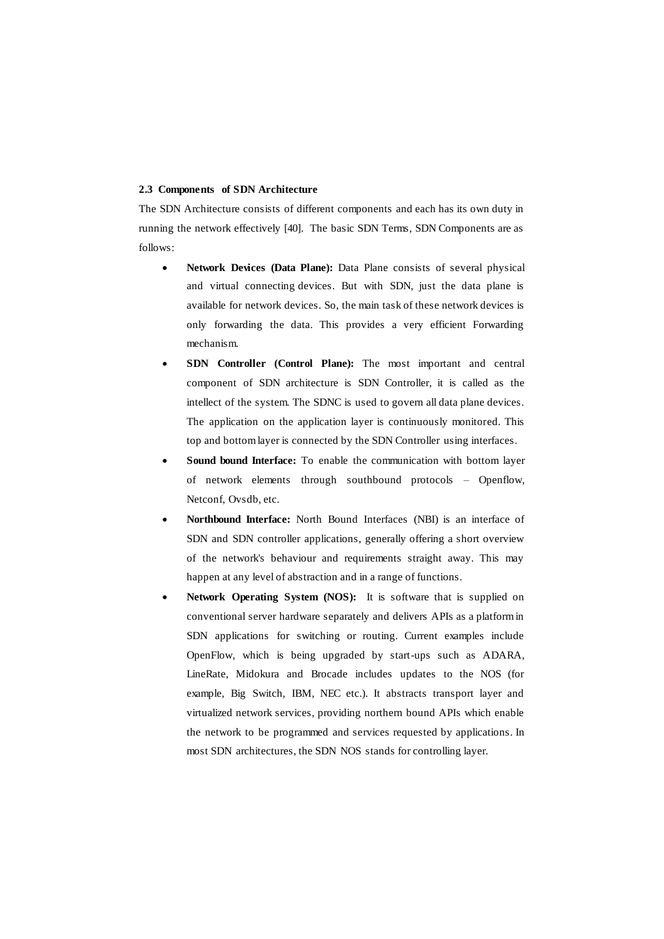## **2.3 Components of SDN Architecture**

The SDN Architecture consists of different components and each has its own duty in running the network effectively [40]. The basic SDN Terms, SDN Components are as follows:

- **Network Devices (Data Plane):** Data Plane consists of several physical and virtual connecting devices. But with SDN, just the data plane is available for network devices. So, the main task of these network devices is only forwarding the data. This provides a very efficient Forwarding mechanism.
- **SDN Controller (Control Plane):** The most important and central component of SDN architecture is SDN Controller, it is called as the intellect of the system. The SDNC is used to govern all data plane devices. The application on the application layer is continuously monitored. This top and bottom layer is connected by the SDN Controller using interfaces.
- **Sound bound Interface:** To enable the communication with bottom layer of network elements through southbound protocols – Openflow, Netconf, Ovsdb, etc.
- **Northbound Interface:** North Bound Interfaces (NBI) is an interface of SDN and SDN controller applications, generally offering a short overview of the network's behaviour and requirements straight away. This may happen at any level of abstraction and in a range of functions.
- **Network Operating System (NOS):** It is software that is supplied on conventional server hardware separately and delivers APIs as a platform in SDN applications for switching or routing. Current examples include OpenFlow, which is being upgraded by start-ups such as ADARA, LineRate, Midokura and Brocade includes updates to the NOS (for example, Big Switch, IBM, NEC etc.). It abstracts transport layer and virtualized network services, providing northern bound APIs which enable the network to be programmed and services requested by applications. In most SDN architectures, the SDN NOS stands for controlling layer.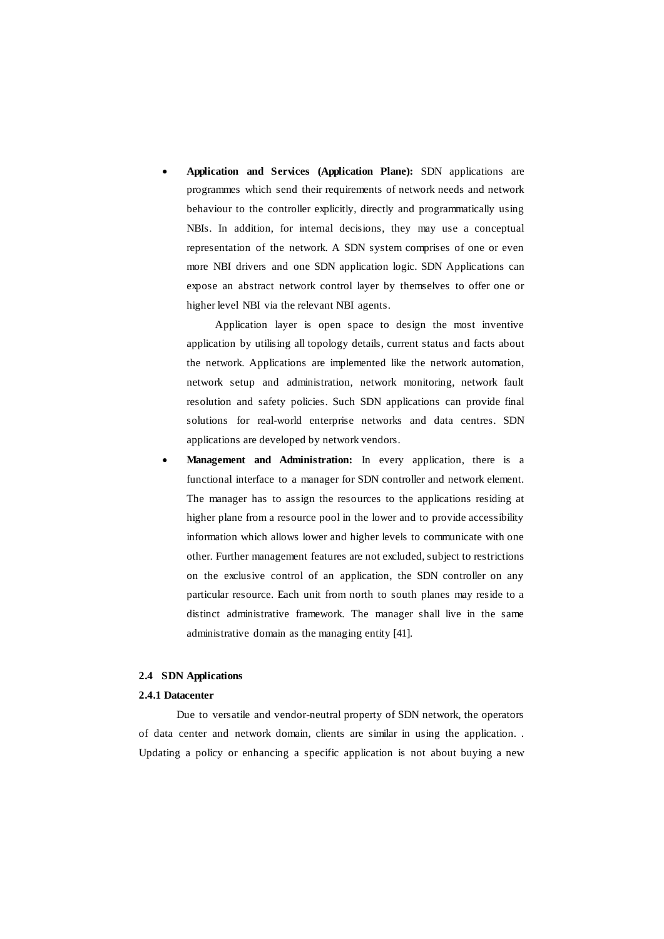**Application and Services (Application Plane):** SDN applications are programmes which send their requirements of network needs and network behaviour to the controller explicitly, directly and programmatically using NBIs. In addition, for internal decisions, they may use a conceptual representation of the network. A SDN system comprises of one or even more NBI drivers and one SDN application logic. SDN Applications can expose an abstract network control layer by themselves to offer one or higher level NBI via the relevant NBI agents.

Application layer is open space to design the most inventive application by utilising all topology details, current status and facts about the network. Applications are implemented like the network automation, network setup and administration, network monitoring, network fault resolution and safety policies. Such SDN applications can provide final solutions for real-world enterprise networks and data centres. SDN applications are developed by network vendors.

 **Management and Administration:** In every application, there is a functional interface to a manager for SDN controller and network element. The manager has to assign the resources to the applications residing at higher plane from a resource pool in the lower and to provide accessibility information which allows lower and higher levels to communicate with one other. Further management features are not excluded, subject to restrictions on the exclusive control of an application, the SDN controller on any particular resource. Each unit from north to south planes may reside to a distinct administrative framework. The manager shall live in the same administrative domain as the managing entity [41].

## **2.4 SDN Applications**

#### **2.4.1 Datacenter**

Due to versatile and vendor-neutral property of SDN network, the operators of data center and network domain, clients are similar in using the application. . Updating a policy or enhancing a specific application is not about buying a new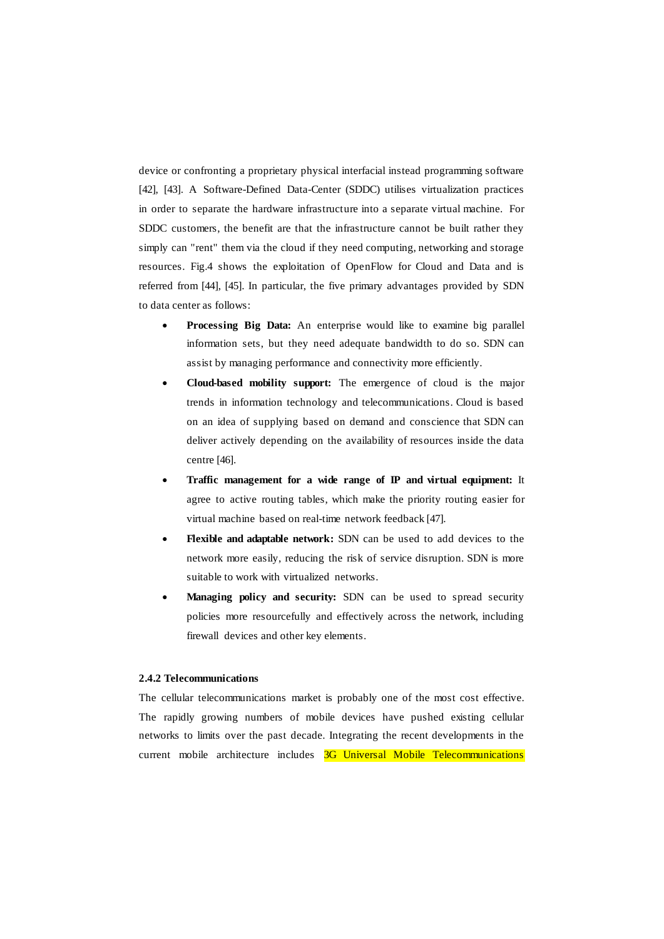device or confronting a proprietary physical interfacial instead programming software [42], [43]. A Software-Defined Data-Center (SDDC) utilises virtualization practices in order to separate the hardware infrastructure into a separate virtual machine. For SDDC customers, the benefit are that the infrastructure cannot be built rather they simply can "rent" them via the cloud if they need computing, networking and storage resources. Fig.4 shows the exploitation of OpenFlow for Cloud and Data and is referred from [44], [45]. In particular, the five primary advantages provided by SDN to data center as follows:

- **Processing Big Data:** An enterprise would like to examine big parallel information sets, but they need adequate bandwidth to do so. SDN can assist by managing performance and connectivity more efficiently.
- **Cloud-based mobility support:** The emergence of cloud is the major trends in information technology and telecommunications. Cloud is based on an idea of supplying based on demand and conscience that SDN can deliver actively depending on the availability of resources inside the data centre [46].
- **Traffic management for a wide range of IP and virtual equipment:** It agree to active routing tables, which make the priority routing easier for virtual machine based on real-time network feedback [47].
- **Flexible and adaptable network:** SDN can be used to add devices to the network more easily, reducing the risk of service disruption. SDN is more suitable to work with virtualized networks.
- **Managing policy and security:** SDN can be used to spread security policies more resourcefully and effectively across the network, including firewall devices and other key elements.

#### **2.4.2 Telecommunications**

The cellular telecommunications market is probably one of the most cost effective. The rapidly growing numbers of mobile devices have pushed existing cellular networks to limits over the past decade. Integrating the recent developments in the current mobile architecture includes 3G Universal Mobile Telecommunications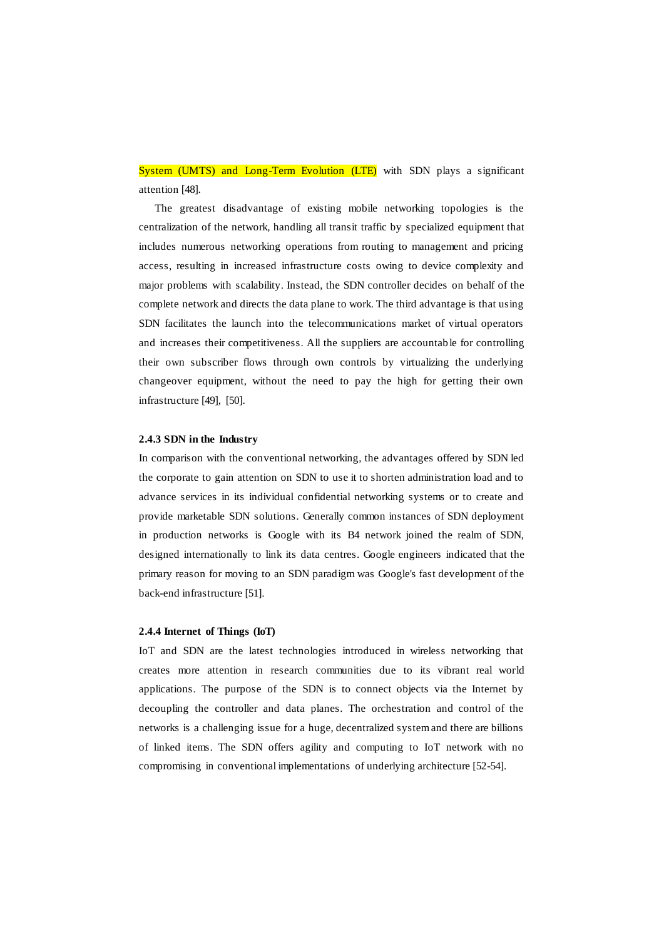System (UMTS) and Long-Term Evolution (LTE) with SDN plays a significant attention [48].

The greatest disadvantage of existing mobile networking topologies is the centralization of the network, handling all transit traffic by specialized equipment that includes numerous networking operations from routing to management and pricing access, resulting in increased infrastructure costs owing to device complexity and major problems with scalability. Instead, the SDN controller decides on behalf of the complete network and directs the data plane to work. The third advantage is that using SDN facilitates the launch into the telecommunications market of virtual operators and increases their competitiveness. All the suppliers are accountable for controlling their own subscriber flows through own controls by virtualizing the underlying changeover equipment, without the need to pay the high for getting their own infrastructure [49], [50].

#### **2.4.3 SDN in the Industry**

In comparison with the conventional networking, the advantages offered by SDN led the corporate to gain attention on SDN to use it to shorten administration load and to advance services in its individual confidential networking systems or to create and provide marketable SDN solutions. Generally common instances of SDN deployment in production networks is Google with its B4 network joined the realm of SDN, designed internationally to link its data centres. Google engineers indicated that the primary reason for moving to an SDN paradigm was Google's fast development of the back-end infrastructure [51].

#### **2.4.4 Internet of Things (IoT)**

IoT and SDN are the latest technologies introduced in wireless networking that creates more attention in research communities due to its vibrant real world applications. The purpose of the SDN is to connect objects via the Internet by decoupling the controller and data planes. The orchestration and control of the networks is a challenging issue for a huge, decentralized system and there are billions of linked items. The SDN offers agility and computing to IoT network with no compromising in conventional implementations of underlying architecture [52-54].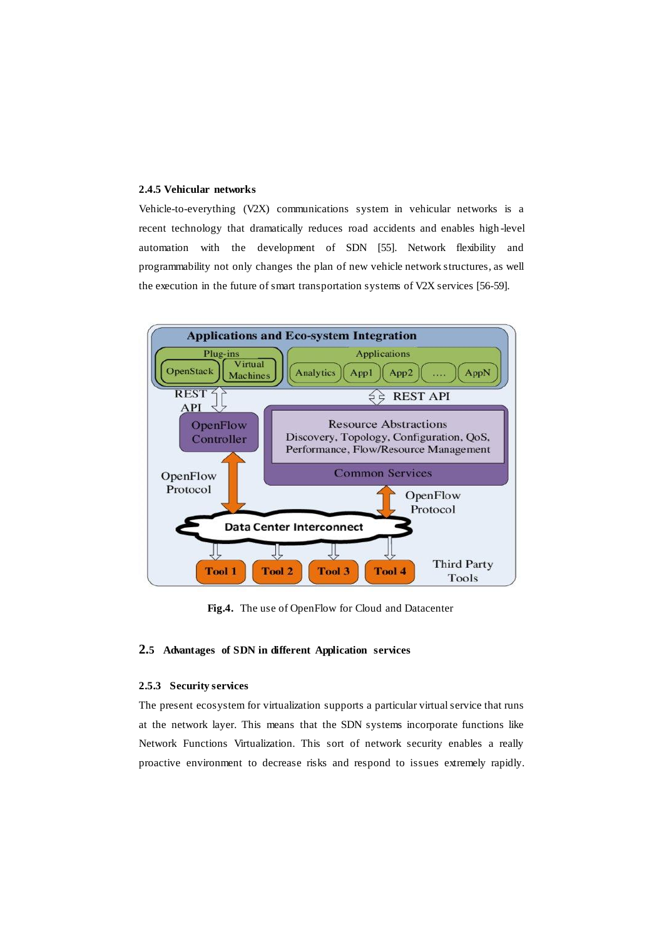## **2.4.5 Vehicular networks**

Vehicle-to-everything (V2X) communications system in vehicular networks is a recent technology that dramatically reduces road accidents and enables high -level automation with the development of SDN [55]. Network flexibility and programmability not only changes the plan of new vehicle network structures, as well the execution in the future of smart transportation systems of V2X services [56-59].



**Fig.4.** The use of OpenFlow for Cloud and Datacenter

## **2.5 Advantages of SDN in different Application services**

#### **2.5.3 Security services**

The present ecosystem for virtualization supports a particular virtual service that runs at the network layer. This means that the SDN systems incorporate functions like Network Functions Virtualization. This sort of network security enables a really proactive environment to decrease risks and respond to issues extremely rapidly.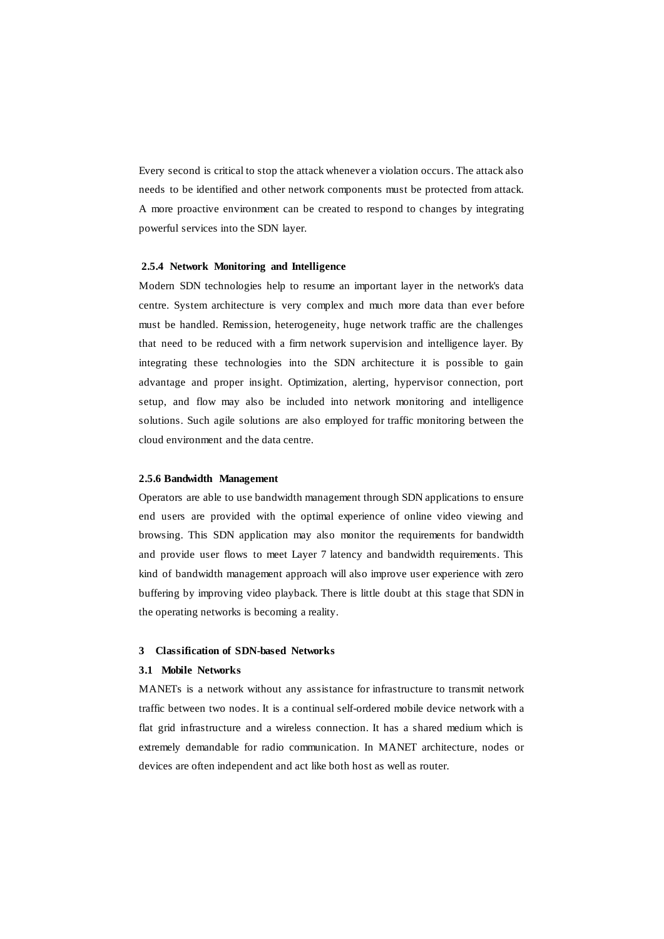Every second is critical to stop the attack whenever a violation occurs. The attack also needs to be identified and other network components must be protected from attack. A more proactive environment can be created to respond to changes by integrating powerful services into the SDN layer.

#### **2.5.4 Network Monitoring and Intelligence**

Modern SDN technologies help to resume an important layer in the network's data centre. System architecture is very complex and much more data than ever before must be handled. Remission, heterogeneity, huge network traffic are the challenges that need to be reduced with a firm network supervision and intelligence layer. By integrating these technologies into the SDN architecture it is possible to gain advantage and proper insight. Optimization, alerting, hypervisor connection, port setup, and flow may also be included into network monitoring and intelligence solutions. Such agile solutions are also employed for traffic monitoring between the cloud environment and the data centre.

#### **2.5.6 Bandwidth Management**

Operators are able to use bandwidth management through SDN applications to ensure end users are provided with the optimal experience of online video viewing and browsing. This SDN application may also monitor the requirements for bandwidth and provide user flows to meet Layer 7 latency and bandwidth requirements. This kind of bandwidth management approach will also improve user experience with zero buffering by improving video playback. There is little doubt at this stage that SDN in the operating networks is becoming a reality.

#### **3 Classification of SDN-based Networks**

### **3.1 Mobile Networks**

MANETs is a network without any assistance for infrastructure to transmit network traffic between two nodes. It is a continual self-ordered mobile device network with a flat grid infrastructure and a wireless connection. It has a shared medium which is extremely demandable for radio communication. In MANET architecture, nodes or devices are often independent and act like both host as well as router.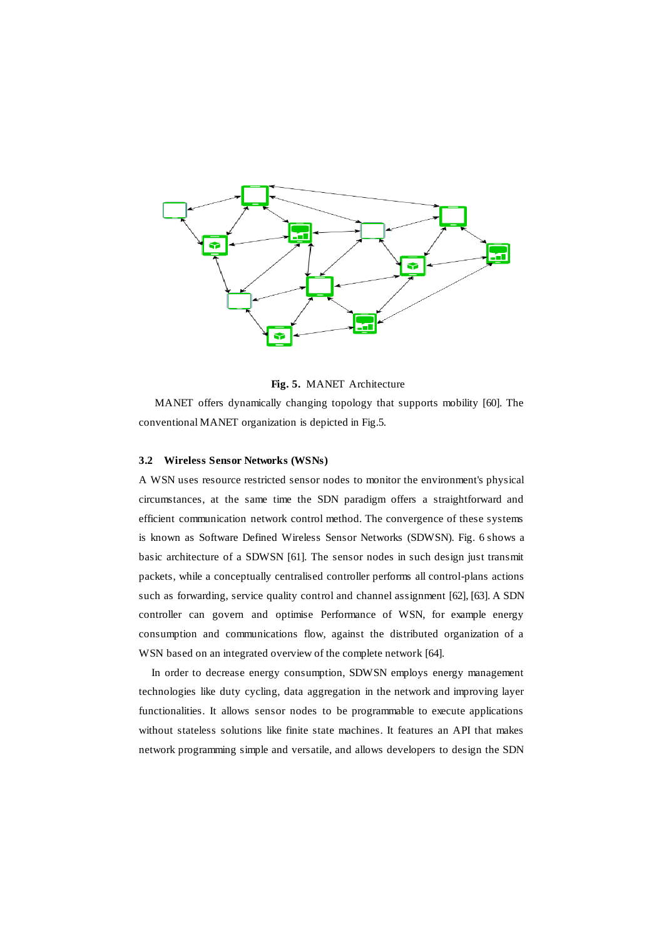

**Fig. 5.** MANET Architecture

MANET offers dynamically changing topology that supports mobility [60]. The conventional MANET organization is depicted in Fig.5.

## **3.2 Wireless Sensor Networks (WSNs)**

A WSN uses resource restricted sensor nodes to monitor the environment's physical circumstances, at the same time the SDN paradigm offers a straightforward and efficient communication network control method. The convergence of these systems is known as Software Defined Wireless Sensor Networks (SDWSN). Fig. 6 shows a basic architecture of a SDWSN [61]. The sensor nodes in such design just transmit packets, while a conceptually centralised controller performs all control-plans actions such as forwarding, service quality control and channel assignment [62], [63]. A SDN controller can govern and optimise Performance of WSN, for example energy consumption and communications flow, against the distributed organization of a WSN based on an integrated overview of the complete network [64].

In order to decrease energy consumption, SDWSN employs energy management technologies like duty cycling, data aggregation in the network and improving layer functionalities. It allows sensor nodes to be programmable to execute applications without stateless solutions like finite state machines. It features an API that makes network programming simple and versatile, and allows developers to design the SDN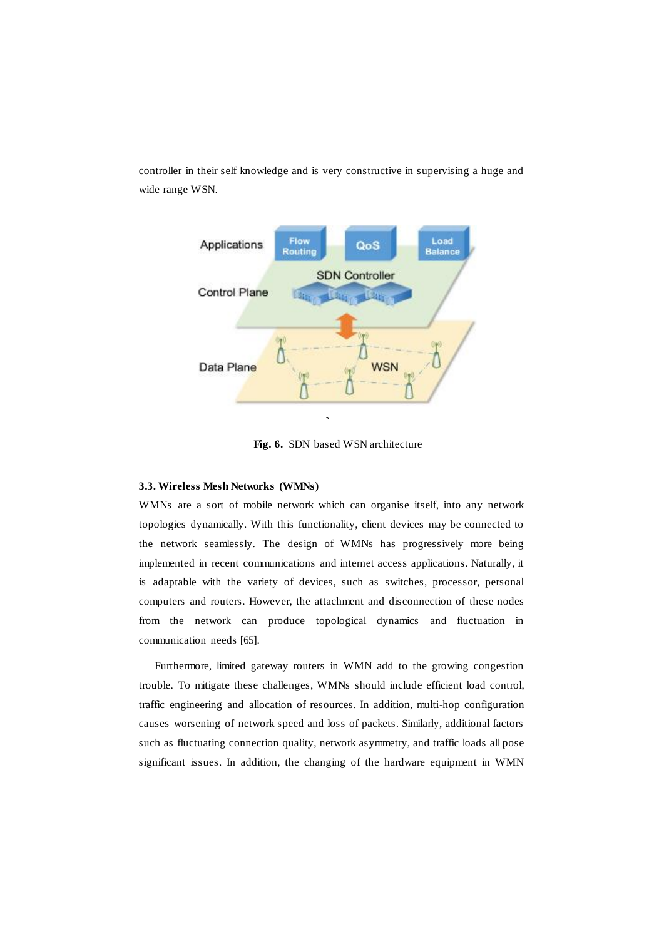controller in their self knowledge and is very constructive in supervising a huge and wide range WSN.



**Fig. 6.** SDN based WSN architecture

## **3.3. Wireless Mesh Networks (WMNs)**

WMNs are a sort of mobile network which can organise itself, into any network topologies dynamically. With this functionality, client devices may be connected to the network seamlessly. The design of WMNs has progressively more being implemented in recent communications and internet access applications. Naturally, it is adaptable with the variety of devices, such as switches, processor, personal computers and routers. However, the attachment and disconnection of these nodes from the network can produce topological dynamics and fluctuation in communication needs [65].

Furthermore, limited gateway routers in WMN add to the growing congestion trouble. To mitigate these challenges, WMNs should include efficient load control, traffic engineering and allocation of resources. In addition, multi-hop configuration causes worsening of network speed and loss of packets. Similarly, additional factors such as fluctuating connection quality, network asymmetry, and traffic loads all pose significant issues. In addition, the changing of the hardware equipment in WMN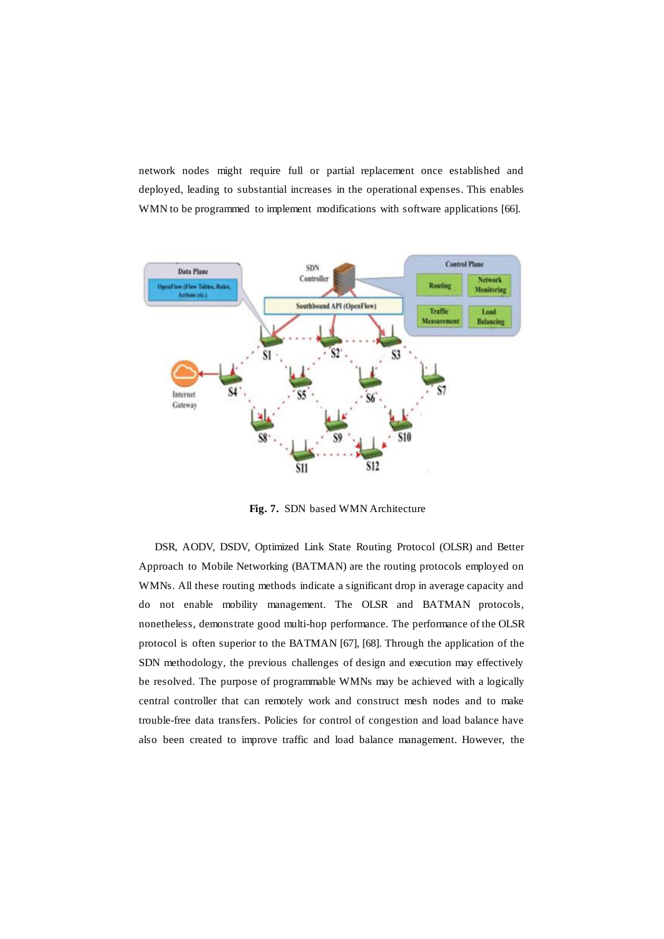network nodes might require full or partial replacement once established and deployed, leading to substantial increases in the operational expenses. This enables WMN to be programmed to implement modifications with software applications [66].



**Fig. 7.** SDN based WMN Architecture

DSR, AODV, DSDV, Optimized Link State Routing Protocol (OLSR) and Better Approach to Mobile Networking (BATMAN) are the routing protocols employed on WMNs. All these routing methods indicate a significant drop in average capacity and do not enable mobility management. The OLSR and BATMAN protocols, nonetheless, demonstrate good multi-hop performance. The performance of the OLSR protocol is often superior to the BATMAN [67], [68]. Through the application of the SDN methodology, the previous challenges of design and execution may effectively be resolved. The purpose of programmable WMNs may be achieved with a logically central controller that can remotely work and construct mesh nodes and to make trouble-free data transfers. Policies for control of congestion and load balance have also been created to improve traffic and load balance management. However, the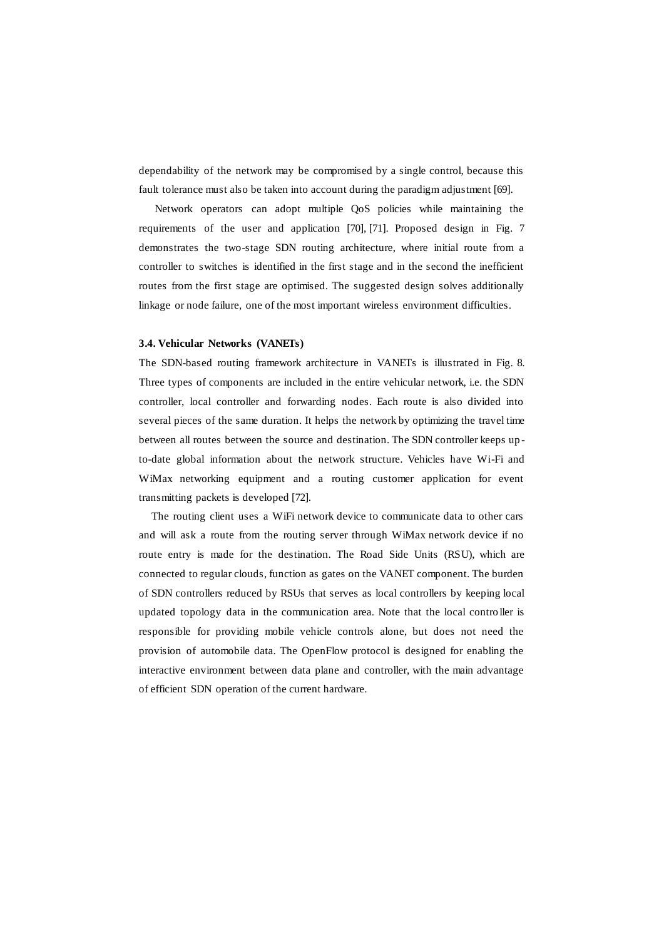dependability of the network may be compromised by a single control, because this fault tolerance must also be taken into account during the paradigm adjustment [69].

Network operators can adopt multiple QoS policies while maintaining the requirements of the user and application [70], [71]. Proposed design in Fig. 7 demonstrates the two-stage SDN routing architecture, where initial route from a controller to switches is identified in the first stage and in the second the inefficient routes from the first stage are optimised. The suggested design solves additionally linkage or node failure, one of the most important wireless environment difficulties.

#### **3.4. Vehicular Networks (VANETs)**

The SDN-based routing framework architecture in VANETs is illustrated in Fig. 8. Three types of components are included in the entire vehicular network, i.e. the SDN controller, local controller and forwarding nodes. Each route is also divided into several pieces of the same duration. It helps the network by optimizing the travel time between all routes between the source and destination. The SDN controller keeps up to-date global information about the network structure. Vehicles have Wi-Fi and WiMax networking equipment and a routing customer application for event transmitting packets is developed [72].

The routing client uses a WiFi network device to communicate data to other cars and will ask a route from the routing server through WiMax network device if no route entry is made for the destination. The Road Side Units (RSU), which are connected to regular clouds, function as gates on the VANET component. The burden of SDN controllers reduced by RSUs that serves as local controllers by keeping local updated topology data in the communication area. Note that the local contro ller is responsible for providing mobile vehicle controls alone, but does not need the provision of automobile data. The OpenFlow protocol is designed for enabling the interactive environment between data plane and controller, with the main advantage of efficient SDN operation of the current hardware.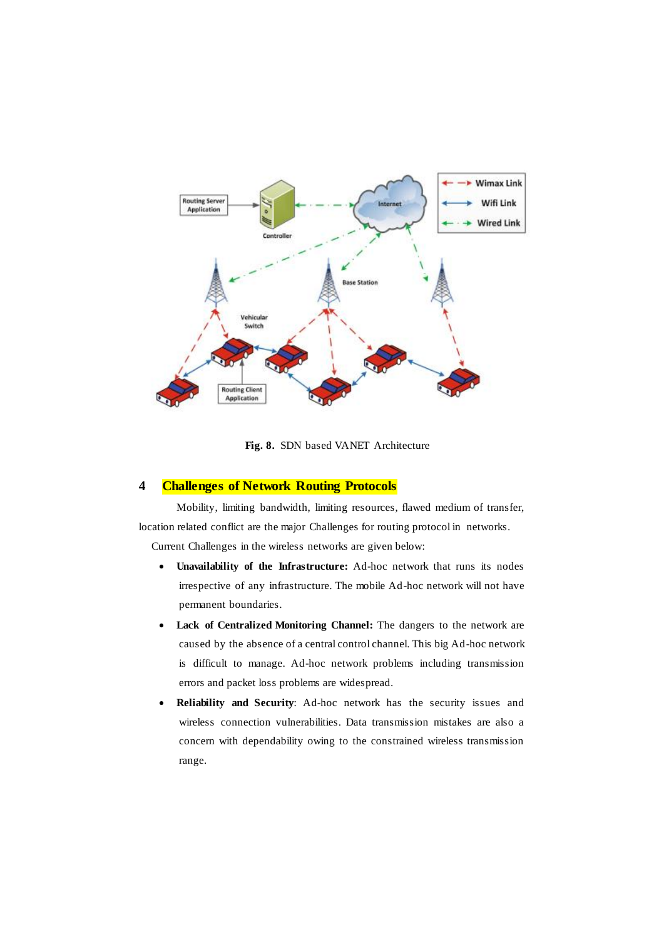

**Fig. 8.** SDN based VANET Architecture

## **4 Challenges of Network Routing Protocols**

Mobility, limiting bandwidth, limiting resources, flawed medium of transfer, location related conflict are the major Challenges for routing protocol in networks.

Current Challenges in the wireless networks are given below:

- **Unavailability of the Infrastructure:** Ad-hoc network that runs its nodes irrespective of any infrastructure. The mobile Ad-hoc network will not have permanent boundaries.
- **Lack of Centralized Monitoring Channel:** The dangers to the network are caused by the absence of a central control channel. This big Ad-hoc network is difficult to manage. Ad-hoc network problems including transmission errors and packet loss problems are widespread.
- **Reliability and Security**: Ad-hoc network has the security issues and wireless connection vulnerabilities. Data transmission mistakes are also a concern with dependability owing to the constrained wireless transmission range.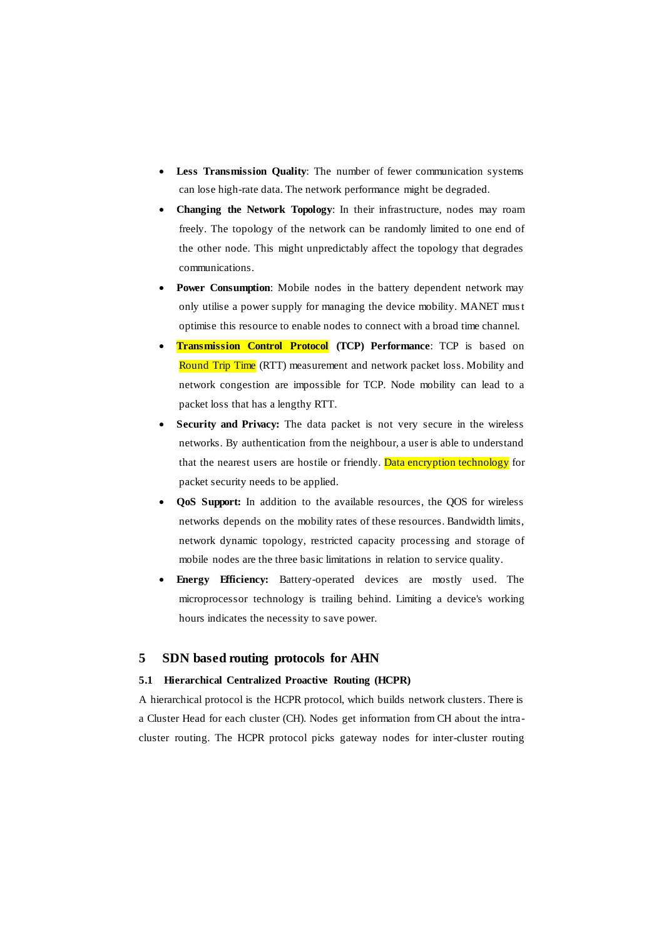- **Less Transmission Quality**: The number of fewer communication systems can lose high-rate data. The network performance might be degraded.
- **Changing the Network Topology**: In their infrastructure, nodes may roam freely. The topology of the network can be randomly limited to one end of the other node. This might unpredictably affect the topology that degrades communications.
- **Power Consumption**: Mobile nodes in the battery dependent network may only utilise a power supply for managing the device mobility. MANET must optimise this resource to enable nodes to connect with a broad time channel.
- **Transmission Control Protocol (TCP) Performance**: TCP is based on Round Trip Time (RTT) measurement and network packet loss. Mobility and network congestion are impossible for TCP. Node mobility can lead to a packet loss that has a lengthy RTT.
- **Security and Privacy:** The data packet is not very secure in the wireless networks. By authentication from the neighbour, a user is able to understand that the nearest users are hostile or friendly. Data encryption technology for packet security needs to be applied.
- **QoS Support:** In addition to the available resources, the QOS for wireless networks depends on the mobility rates of these resources. Bandwidth limits, network dynamic topology, restricted capacity processing and storage of mobile nodes are the three basic limitations in relation to service quality.
- **Energy Efficiency:** Battery-operated devices are mostly used. The microprocessor technology is trailing behind. Limiting a device's working hours indicates the necessity to save power.

## **5 SDN based routing protocols for AHN**

#### **5.1 Hierarchical Centralized Proactive Routing (HCPR)**

A hierarchical protocol is the HCPR protocol, which builds network clusters. There is a Cluster Head for each cluster (CH). Nodes get information from CH about the intracluster routing. The HCPR protocol picks gateway nodes for inter-cluster routing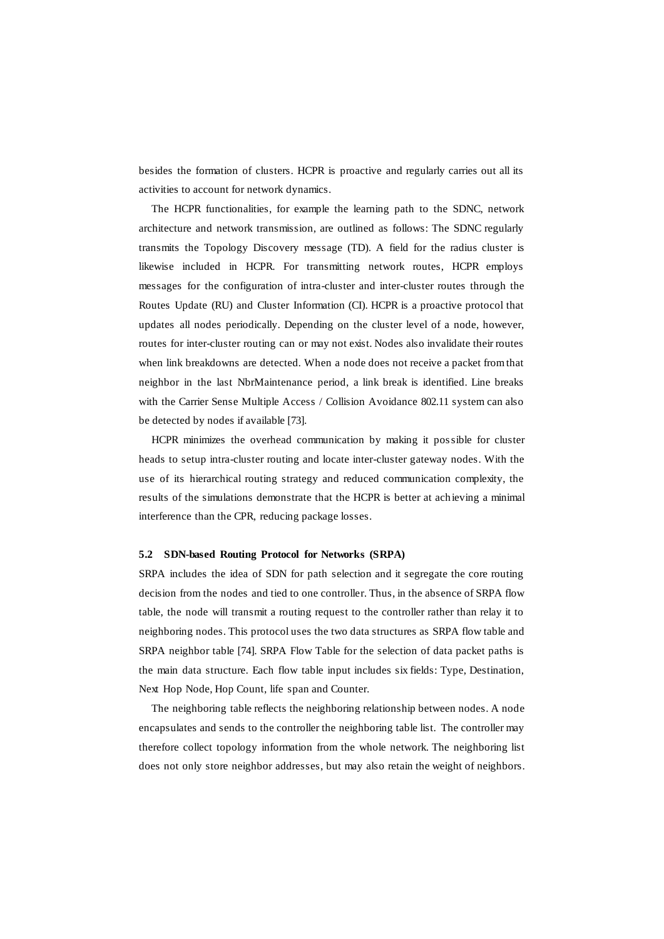besides the formation of clusters. HCPR is proactive and regularly carries out all its activities to account for network dynamics.

The HCPR functionalities, for example the learning path to the SDNC, network architecture and network transmission, are outlined as follows: The SDNC regularly transmits the Topology Discovery message (TD). A field for the radius cluster is likewise included in HCPR. For transmitting network routes, HCPR employs messages for the configuration of intra-cluster and inter-cluster routes through the Routes Update (RU) and Cluster Information (CI). HCPR is a proactive protocol that updates all nodes periodically. Depending on the cluster level of a node, however, routes for inter-cluster routing can or may not exist. Nodes also invalidate their routes when link breakdowns are detected. When a node does not receive a packet from that neighbor in the last NbrMaintenance period, a link break is identified. Line breaks with the Carrier Sense Multiple Access / Collision Avoidance 802.11 system can also be detected by nodes if available [73].

HCPR minimizes the overhead communication by making it possible for cluster heads to setup intra-cluster routing and locate inter-cluster gateway nodes. With the use of its hierarchical routing strategy and reduced communication complexity, the results of the simulations demonstrate that the HCPR is better at achieving a minimal interference than the CPR, reducing package losses.

#### **5.2 SDN-based Routing Protocol for Networks (SRPA)**

SRPA includes the idea of SDN for path selection and it segregate the core routing decision from the nodes and tied to one controller. Thus, in the absence of SRPA flow table, the node will transmit a routing request to the controller rather than relay it to neighboring nodes. This protocol uses the two data structures as SRPA flow table and SRPA neighbor table [74]. SRPA Flow Table for the selection of data packet paths is the main data structure. Each flow table input includes six fields: Type, Destination, Next Hop Node, Hop Count, life span and Counter.

The neighboring table reflects the neighboring relationship between nodes. A node encapsulates and sends to the controller the neighboring table list. The controller may therefore collect topology information from the whole network. The neighboring list does not only store neighbor addresses, but may also retain the weight of neighbors.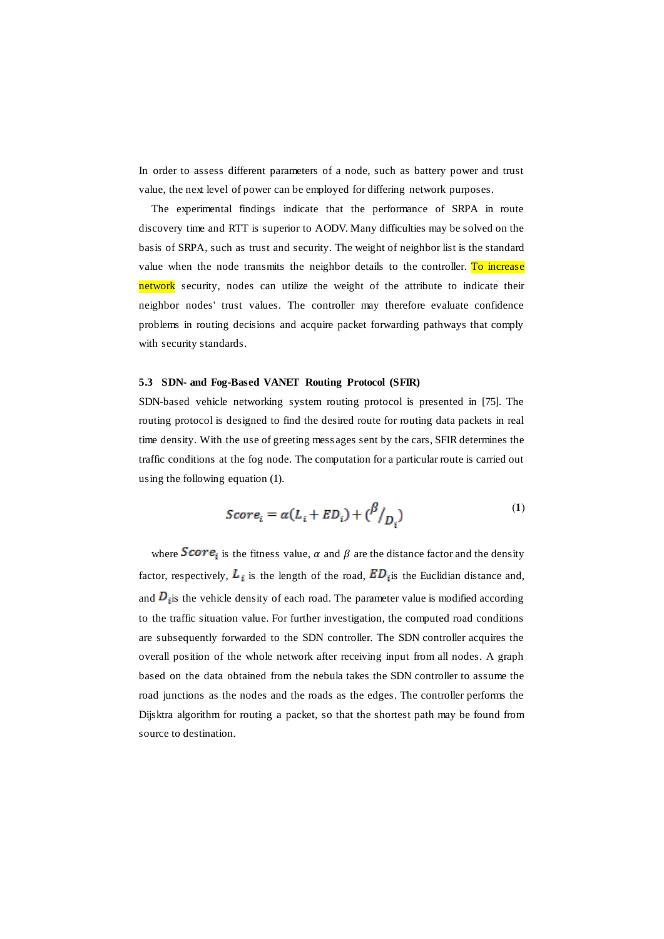In order to assess different parameters of a node, such as battery power and trust value, the next level of power can be employed for differing network purposes.

The experimental findings indicate that the performance of SRPA in route discovery time and RTT is superior to AODV. Many difficulties may be solved on the basis of SRPA, such as trust and security. The weight of neighbor list is the standard value when the node transmits the neighbor details to the controller. To increase network security, nodes can utilize the weight of the attribute to indicate their neighbor nodes' trust values. The controller may therefore evaluate confidence problems in routing decisions and acquire packet forwarding pathways that comply with security standards.

#### **5.3 SDN- and Fog-Based VANET Routing Protocol (SFIR)**

SDN-based vehicle networking system routing protocol is presented in [75]. The routing protocol is designed to find the desired route for routing data packets in real time density. With the use of greeting mess ages sent by the cars, SFIR determines the traffic conditions at the fog node. The computation for a particular route is carried out using the following equation (1).

$$
Score_i = \alpha (L_i + ED_i) + {\beta \choose D_i}
$$
 (1)

where **Score**<sub>i</sub> is the fitness value,  $\alpha$  and  $\beta$  are the distance factor and the density factor, respectively,  $L_i$  is the length of the road,  $ED_i$  is the Euclidian distance and, and  $D_i$  is the vehicle density of each road. The parameter value is modified according to the traffic situation value. For further investigation, the computed road conditions are subsequently forwarded to the SDN controller. The SDN controller acquires the overall position of the whole network after receiving input from all nodes. A graph based on the data obtained from the nebula takes the SDN controller to assume the road junctions as the nodes and the roads as the edges. The controller performs the Dijsktra algorithm for routing a packet, so that the shortest path may be found from source to destination.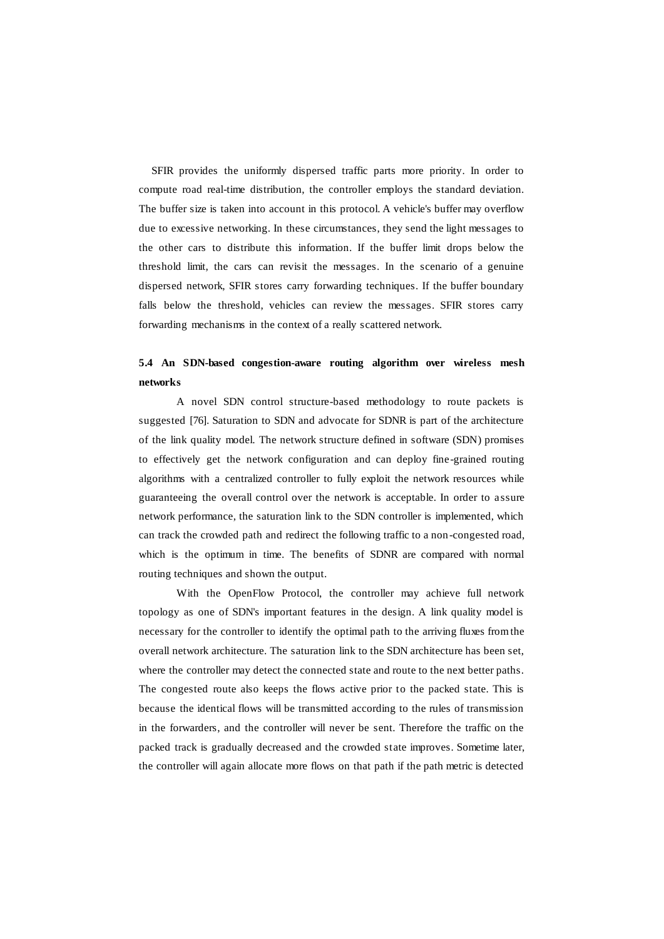SFIR provides the uniformly dispersed traffic parts more priority. In order to compute road real-time distribution, the controller employs the standard deviation. The buffer size is taken into account in this protocol. A vehicle's buffer may overflow due to excessive networking. In these circumstances, they send the light messages to the other cars to distribute this information. If the buffer limit drops below the threshold limit, the cars can revisit the messages. In the scenario of a genuine dispersed network, SFIR stores carry forwarding techniques. If the buffer boundary falls below the threshold, vehicles can review the messages. SFIR stores carry forwarding mechanisms in the context of a really scattered network.

## **5.4 An SDN-based congestion-aware routing algorithm over wireless mesh networks**

A novel SDN control structure-based methodology to route packets is suggested [76]. Saturation to SDN and advocate for SDNR is part of the architecture of the link quality model. The network structure defined in software (SDN) promises to effectively get the network configuration and can deploy fine-grained routing algorithms with a centralized controller to fully exploit the network resources while guaranteeing the overall control over the network is acceptable. In order to a ssure network performance, the saturation link to the SDN controller is implemented, which can track the crowded path and redirect the following traffic to a non-congested road, which is the optimum in time. The benefits of SDNR are compared with normal routing techniques and shown the output.

With the OpenFlow Protocol, the controller may achieve full network topology as one of SDN's important features in the design. A link quality model is necessary for the controller to identify the optimal path to the arriving fluxes from the overall network architecture. The saturation link to the SDN architecture has been set, where the controller may detect the connected state and route to the next better paths. The congested route also keeps the flows active prior to the packed state. This is because the identical flows will be transmitted according to the rules of transmission in the forwarders, and the controller will never be sent. Therefore the traffic on the packed track is gradually decreased and the crowded state improves. Sometime later, the controller will again allocate more flows on that path if the path metric is detected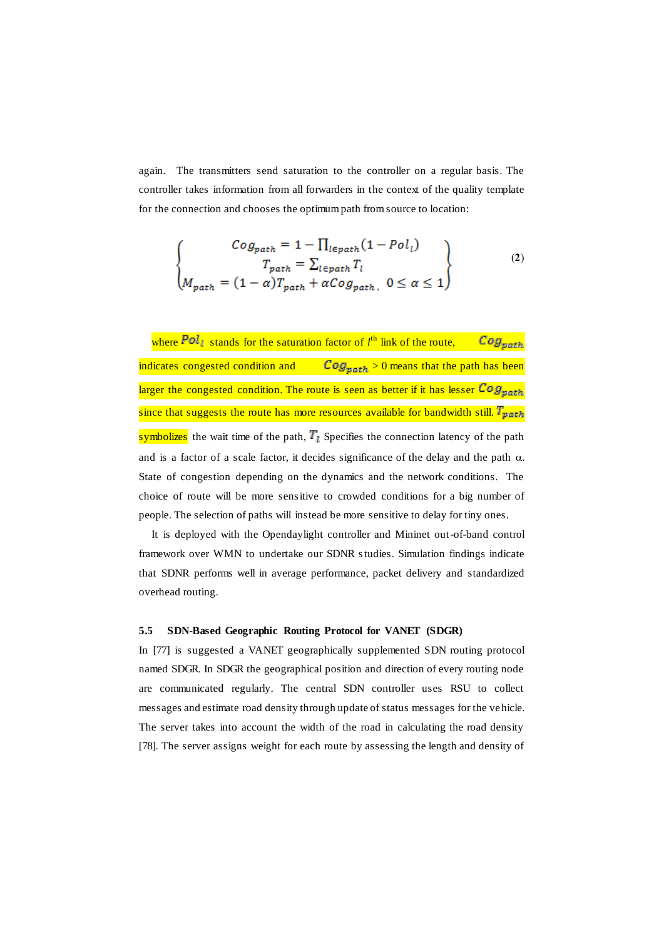again. The transmitters send saturation to the controller on a regular basis. The controller takes information from all forwarders in the context of the quality template for the connection and chooses the optimum path from source to location:

$$
\begin{cases}\nCog_{path} = 1 - \prod_{l \in path} (1 - Pol_l) \\
T_{path} = \sum_{l \in path} T_l \\
M_{path} = (1 - \alpha)T_{path} + \alpha Cog_{path}, \ 0 \le \alpha \le 1\n\end{cases}
$$
\n(2)

 $\mathcal{C}og_{path}$ where  $Pol_i$  stands for the saturation factor of  $l^{\text{th}}$  link of the route, indicates congested condition and  $Cog_{patch} > 0$  means that the path has been larger the congested condition. The route is seen as better if it has lesser  $\text{Cog}_{\text{path}}$ since that suggests the route has more resources available for bandwidth still.  $T_{\text{path}}$ symbolizes the wait time of the path,  $T<sub>l</sub>$  Specifies the connection latency of the path and is a factor of a scale factor, it decides significance of the delay and the path  $\alpha$ . State of congestion depending on the dynamics and the network conditions. The choice of route will be more sensitive to crowded conditions for a big number of people. The selection of paths will instead be more sensitive to delay for tiny ones.

It is deployed with the Opendaylight controller and Mininet out-of-band control framework over WMN to undertake our SDNR studies. Simulation findings indicate that SDNR performs well in average performance, packet delivery and standardized overhead routing.

#### **5.5 SDN-Based Geographic Routing Protocol for VANET (SDGR)**

In [77] is suggested a VANET geographically supplemented SDN routing protocol named SDGR. In SDGR the geographical position and direction of every routing node are communicated regularly. The central SDN controller uses RSU to collect messages and estimate road density through update of status messages for the vehicle. The server takes into account the width of the road in calculating the road density [78]. The server assigns weight for each route by assessing the length and density of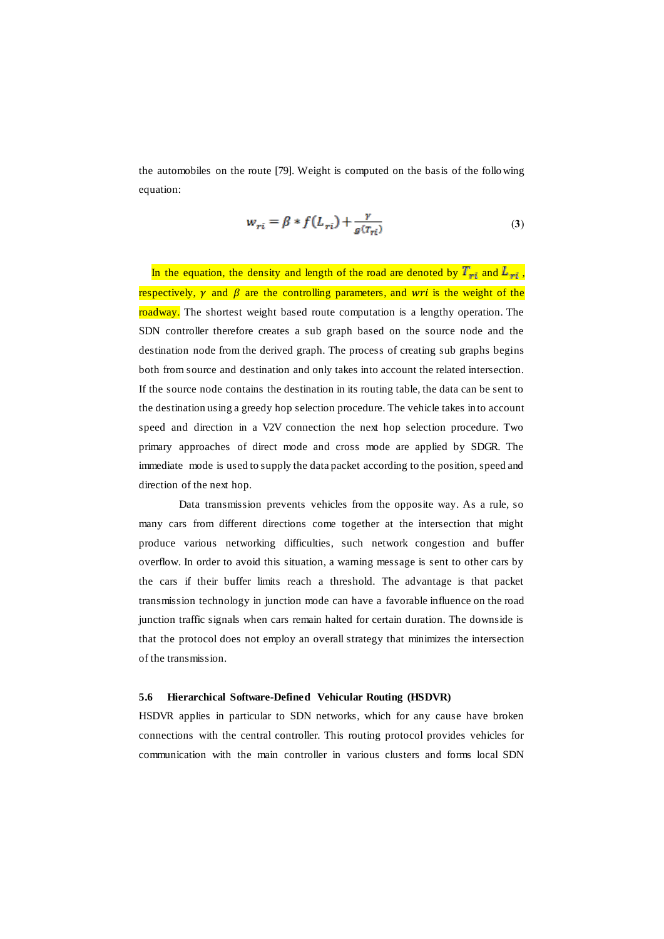the automobiles on the route [79]. Weight is computed on the basis of the following equation:

$$
w_{ri} = \beta * f(L_{ri}) + \frac{\gamma}{g(\tau_{ri})}
$$
\n(3)

In the equation, the density and length of the road are denoted by  $T_{rt}$  and  $L_{rt}$ , respectively,  $\gamma$  and  $\beta$  are the controlling parameters, and wri is the weight of the roadway. The shortest weight based route computation is a lengthy operation. The SDN controller therefore creates a sub graph based on the source node and the destination node from the derived graph. The process of creating sub graphs begins both from source and destination and only takes into account the related intersection. If the source node contains the destination in its routing table, the data can be sent to the destination using a greedy hop selection procedure. The vehicle takes into account speed and direction in a V2V connection the next hop selection procedure. Two primary approaches of direct mode and cross mode are applied by SDGR. The immediate mode is used to supply the data packet according to the position, speed and direction of the next hop.

Data transmission prevents vehicles from the opposite way. As a rule, so many cars from different directions come together at the intersection that might produce various networking difficulties, such network congestion and buffer overflow. In order to avoid this situation, a warning message is sent to other cars by the cars if their buffer limits reach a threshold. The advantage is that packet transmission technology in junction mode can have a favorable influence on the road junction traffic signals when cars remain halted for certain duration. The downside is that the protocol does not employ an overall strategy that minimizes the intersection of the transmission.

#### **5.6 Hierarchical Software-Defined Vehicular Routing (HSDVR)**

HSDVR applies in particular to SDN networks, which for any cause have broken connections with the central controller. This routing protocol provides vehicles for communication with the main controller in various clusters and forms local SDN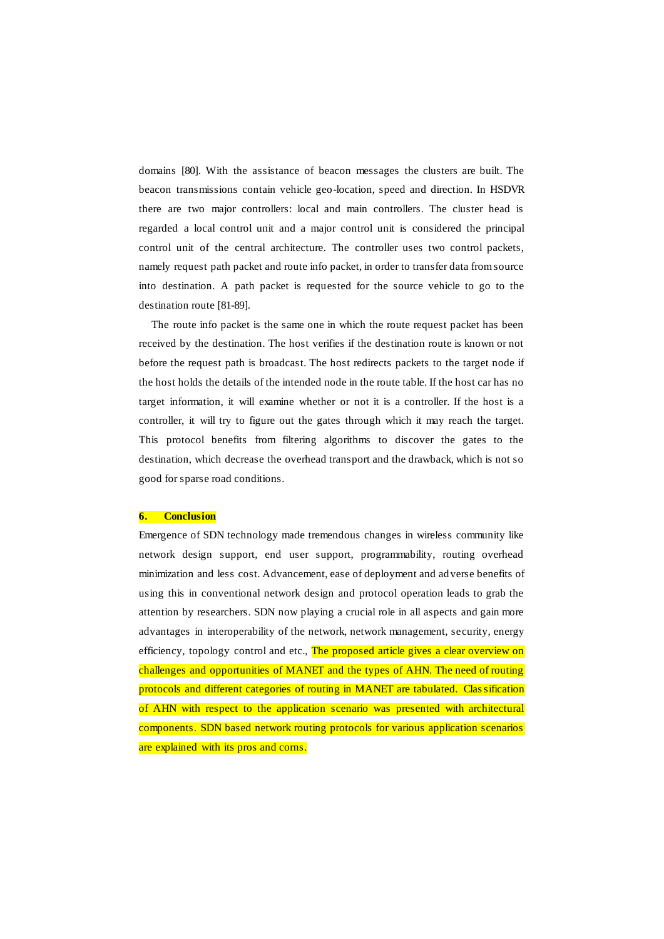domains [80]. With the assistance of beacon messages the clusters are built. The beacon transmissions contain vehicle geo-location, speed and direction. In HSDVR there are two major controllers: local and main controllers. The cluster head is regarded a local control unit and a major control unit is considered the principal control unit of the central architecture. The controller uses two control packets, namely request path packet and route info packet, in order to transfer data from source into destination. A path packet is requested for the source vehicle to go to the destination route [81-89].

The route info packet is the same one in which the route request packet has been received by the destination. The host verifies if the destination route is known or not before the request path is broadcast. The host redirects packets to the target node if the host holds the details of the intended node in the route table. If the host car has no target information, it will examine whether or not it is a controller. If the host is a controller, it will try to figure out the gates through which it may reach the target. This protocol benefits from filtering algorithms to discover the gates to the destination, which decrease the overhead transport and the drawback, which is not so good for sparse road conditions.

#### **6. Conclusion**

Emergence of SDN technology made tremendous changes in wireless community like network design support, end user support, programmability, routing overhead minimization and less cost. Advancement, ease of deployment and adverse benefits of using this in conventional network design and protocol operation leads to grab the attention by researchers. SDN now playing a crucial role in all aspects and gain more advantages in interoperability of the network, network management, security, energy efficiency, topology control and etc., The proposed article gives a clear overview on challenges and opportunities of MANET and the types of AHN. The need of routing protocols and different categories of routing in MANET are tabulated. Classification of AHN with respect to the application scenario was presented with architectural components. SDN based network routing protocols for various application scenarios are explained with its pros and corns.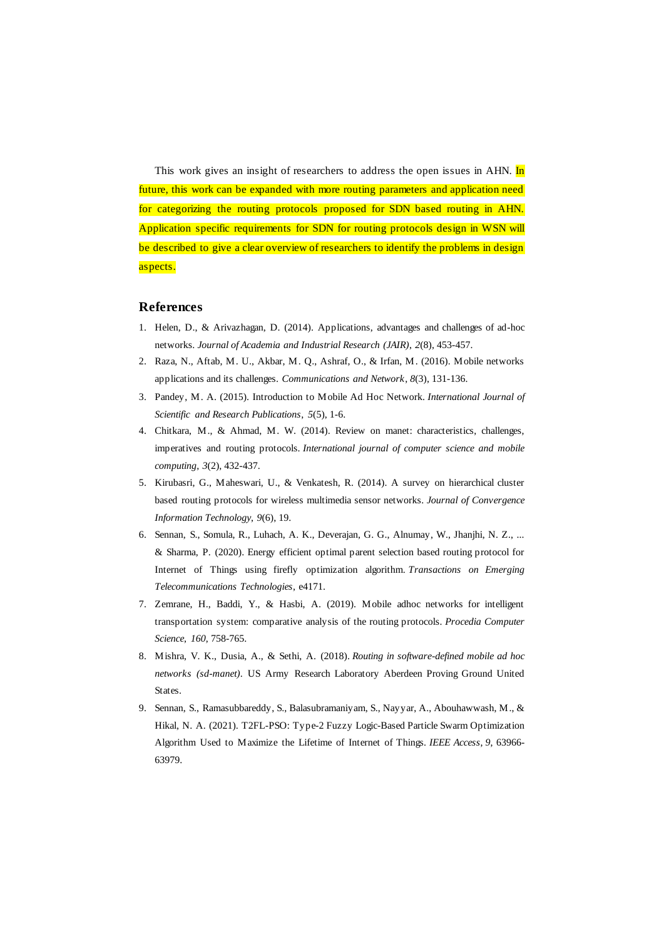This work gives an insight of researchers to address the open issues in AHN. In future, this work can be expanded with more routing parameters and application need for categorizing the routing protocols proposed for SDN based routing in AHN. Application specific requirements for SDN for routing protocols design in WSN will be described to give a clear overview of researchers to identify the problems in design aspects.

#### **References**

- 1. Helen, D., & Arivazhagan, D. (2014). Applications, advantages and challenges of ad-hoc networks. *Journal of Academia and Industrial Research (JAIR)*, *2*(8), 453-457.
- 2. Raza, N., Aftab, M. U., Akbar, M. Q., Ashraf, O., & Irfan, M. (2016). Mobile networks applications and its challenges. *Communications and Network*, *8*(3), 131-136.
- 3. Pandey, M. A. (2015). Introduction to Mobile Ad Hoc Network. *International Journal of Scientific and Research Publications*, *5*(5), 1-6.
- 4. Chitkara, M., & Ahmad, M. W. (2014). Review on manet: characteristics, challenges, imperatives and routing protocols. *International journal of computer science and mobile computing*, *3*(2), 432-437.
- 5. Kirubasri, G., Maheswari, U., & Venkatesh, R. (2014). A survey on hierarchical cluster based routing protocols for wireless multimedia sensor networks. *Journal of Convergence Information Technology*, *9*(6), 19.
- 6. Sennan, S., Somula, R., Luhach, A. K., Deverajan, G. G., Alnumay, W., Jhanjhi, N. Z., ... & Sharma, P. (2020). Energy efficient optimal parent selection based routing protocol for Internet of Things using firefly optimization algorithm. *Transactions on Emerging Telecommunications Technologies*, e4171.
- 7. Zemrane, H., Baddi, Y., & Hasbi, A. (2019). Mobile adhoc networks for intelligent transportation system: comparative analysis of the routing protocols. *Procedia Computer Science*, *160*, 758-765.
- 8. Mishra, V. K., Dusia, A., & Sethi, A. (2018). *Routing in software-defined mobile ad hoc networks (sd-manet)*. US Army Research Laboratory Aberdeen Proving Ground United States.
- 9. Sennan, S., Ramasubbareddy, S., Balasubramaniyam, S., Nayyar, A., Abouhawwash, M., & Hikal, N. A. (2021). T2FL-PSO: Type-2 Fuzzy Logic-Based Particle Swarm Optimization Algorithm Used to Maximize the Lifetime of Internet of Things. *IEEE Access*, *9*, 63966- 63979.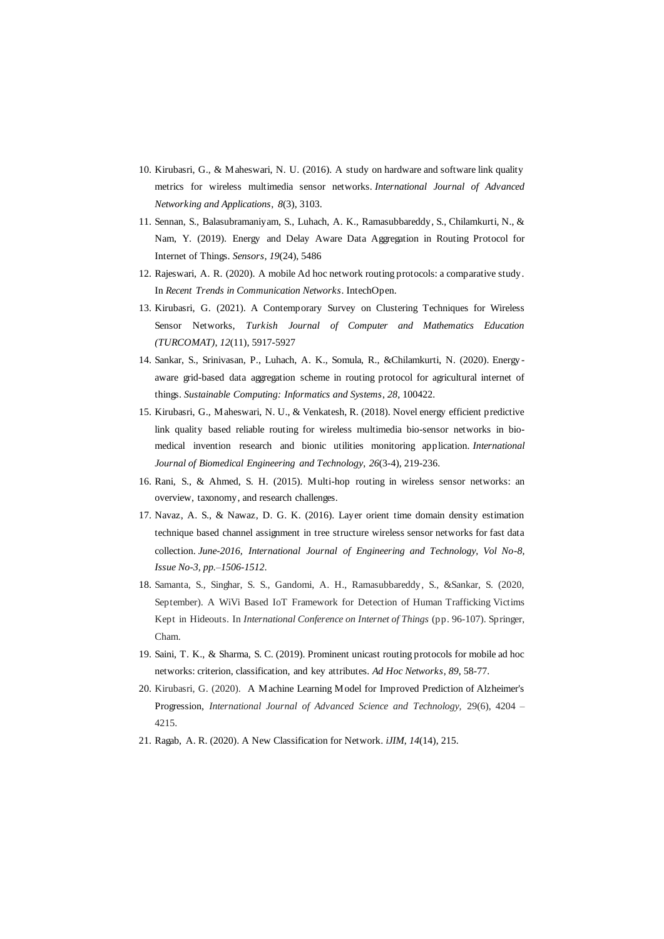- 10. Kirubasri, G., & Maheswari, N. U. (2016). A study on hardware and software link quality metrics for wireless multimedia sensor networks. *International Journal of Advanced Networking and Applications*, *8*(3), 3103.
- 11. Sennan, S., Balasubramaniyam, S., Luhach, A. K., Ramasubbareddy, S., Chilamkurti, N., & Nam, Y. (2019). Energy and Delay Aware Data Aggregation in Routing Protocol for Internet of Things. *Sensors*, *19*(24), 5486
- 12. Rajeswari, A. R. (2020). A mobile Ad hoc network routing protocols: a comparative study. In *Recent Trends in Communication Networks*. IntechOpen.
- 13. Kirubasri, G. (2021). A Contemporary Survey on Clustering Techniques for Wireless Sensor Networks, *Turkish Journal of Computer and Mathematics Education (TURCOMAT)*, *12*(11), 5917-5927
- 14. Sankar, S., Srinivasan, P., Luhach, A. K., Somula, R., &Chilamkurti, N. (2020). Energy aware grid-based data aggregation scheme in routing protocol for agricultural internet of things. *Sustainable Computing: Informatics and Systems*, *28*, 100422.
- 15. Kirubasri, G., Maheswari, N. U., & Venkatesh, R. (2018). Novel energy efficient predictive link quality based reliable routing for wireless multimedia bio-sensor networks in biomedical invention research and bionic utilities monitoring application. *International Journal of Biomedical Engineering and Technology*, *26*(3-4), 219-236.
- 16. Rani, S., & Ahmed, S. H. (2015). Multi-hop routing in wireless sensor networks: an overview, taxonomy, and research challenges.
- 17. Navaz, A. S., & Nawaz, D. G. K. (2016). Layer orient time domain density estimation technique based channel assignment in tree structure wireless sensor networks for fast data collection. *June-2016, International Journal of Engineering and Technology, Vol No-8, Issue No-3, pp.–1506-1512*.
- 18. Samanta, S., Singhar, S. S., Gandomi, A. H., Ramasubbareddy, S., &Sankar, S. (2020, September). A WiVi Based IoT Framework for Detection of Human Trafficking Victims Kept in Hideouts. In *International Conference on Internet of Things* (pp. 96-107). Springer, Cham.
- 19. Saini, T. K., & Sharma, S. C. (2019). Prominent unicast routing protocols for mobile ad hoc networks: criterion, classification, and key attributes. *Ad Hoc Networks*, *89*, 58-77.
- 20. Kirubasri, G. (2020). A Machine Learning Model for Improved Prediction of Alzheimer's Progression, *International Journal of Advanced Science and Technology,* 29(6), 4204 – 4215.
- 21. Ragab, A. R. (2020). A New Classification for Network. *iJIM*, *14*(14), 215.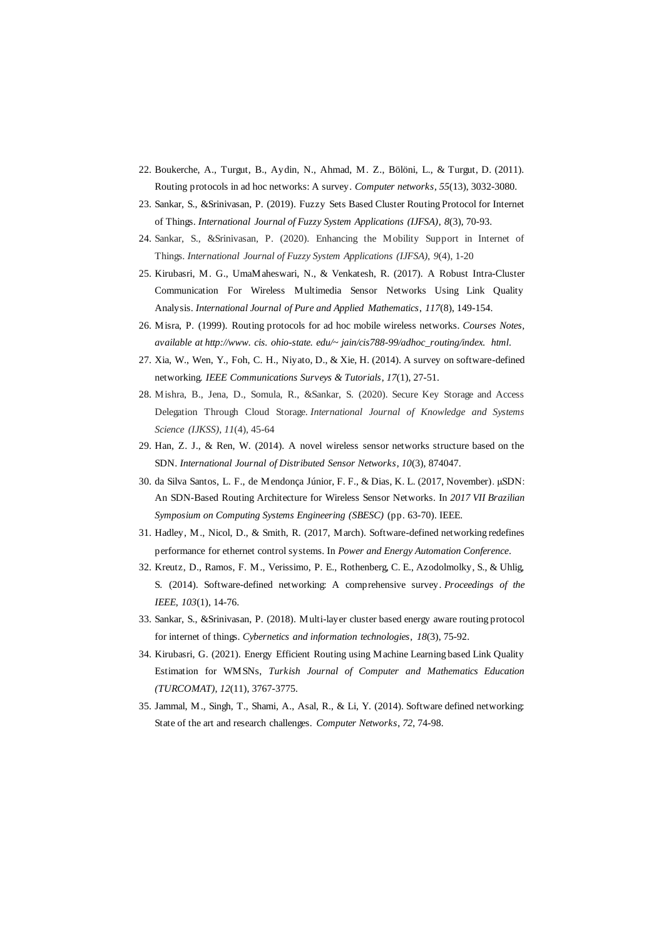- 22. Boukerche, A., Turgut, B., Aydin, N., Ahmad, M. Z., Bölöni, L., & Turgut, D. (2011). Routing protocols in ad hoc networks: A survey. *Computer networks*, *55*(13), 3032-3080.
- 23. Sankar, S., &Srinivasan, P. (2019). Fuzzy Sets Based Cluster Routing Protocol for Internet of Things. *International Journal of Fuzzy System Applications (IJFSA)*, *8*(3), 70-93.
- 24. Sankar, S., &Srinivasan, P. (2020). Enhancing the Mobility Support in Internet of Things. *International Journal of Fuzzy System Applications (IJFSA)*, *9*(4), 1-20
- 25. Kirubasri, M. G., UmaMaheswari, N., & Venkatesh, R. (2017). A Robust Intra-Cluster Communication For Wireless Multimedia Sensor Networks Using Link Quality Analysis. *International Journal of Pure and Applied Mathematics*, *117*(8), 149-154.
- 26. Misra, P. (1999). Routing protocols for ad hoc mobile wireless networks. *Courses Notes, available at http://www. cis. ohio-state. edu/~ jain/cis788-99/adhoc\_routing/index. html*.
- 27. Xia, W., Wen, Y., Foh, C. H., Niyato, D., & Xie, H. (2014). A survey on software-defined networking. *IEEE Communications Surveys & Tutorials*, *17*(1), 27-51.
- 28. Mishra, B., Jena, D., Somula, R., &Sankar, S. (2020). Secure Key Storage and Access Delegation Through Cloud Storage. *International Journal of Knowledge and Systems Science (IJKSS)*, *11*(4), 45-64
- 29. Han, Z. J., & Ren, W. (2014). A novel wireless sensor networks structure based on the SDN. *International Journal of Distributed Sensor Networks*, *10*(3), 874047.
- 30. da Silva Santos, L. F., de Mendonça Júnior, F. F., & Dias, K. L. (2017, November). μSDN: An SDN-Based Routing Architecture for Wireless Sensor Networks. In *2017 VII Brazilian Symposium on Computing Systems Engineering (SBESC)* (pp. 63-70). IEEE.
- 31. Hadley, M., Nicol, D., & Smith, R. (2017, March). Software-defined networking redefines performance for ethernet control systems. In *Power and Energy Automation Conference*.
- 32. Kreutz, D., Ramos, F. M., Verissimo, P. E., Rothenberg, C. E., Azodolmolky, S., & Uhlig, S. (2014). Software-defined networking: A comprehensive survey. *Proceedings of the IEEE*, *103*(1), 14-76.
- 33. Sankar, S., &Srinivasan, P. (2018). Multi-layer cluster based energy aware routing protocol for internet of things. *Cybernetics and information technologies*, *18*(3), 75-92.
- 34. Kirubasri, G. (2021). Energy Efficient Routing using Machine Learning based Link Quality Estimation for WMSNs, *Turkish Journal of Computer and Mathematics Education (TURCOMAT)*, *12*(11), 3767-3775.
- 35. Jammal, M., Singh, T., Shami, A., Asal, R., & Li, Y. (2014). Software defined networking: State of the art and research challenges. *Computer Networks*, *72*, 74-98.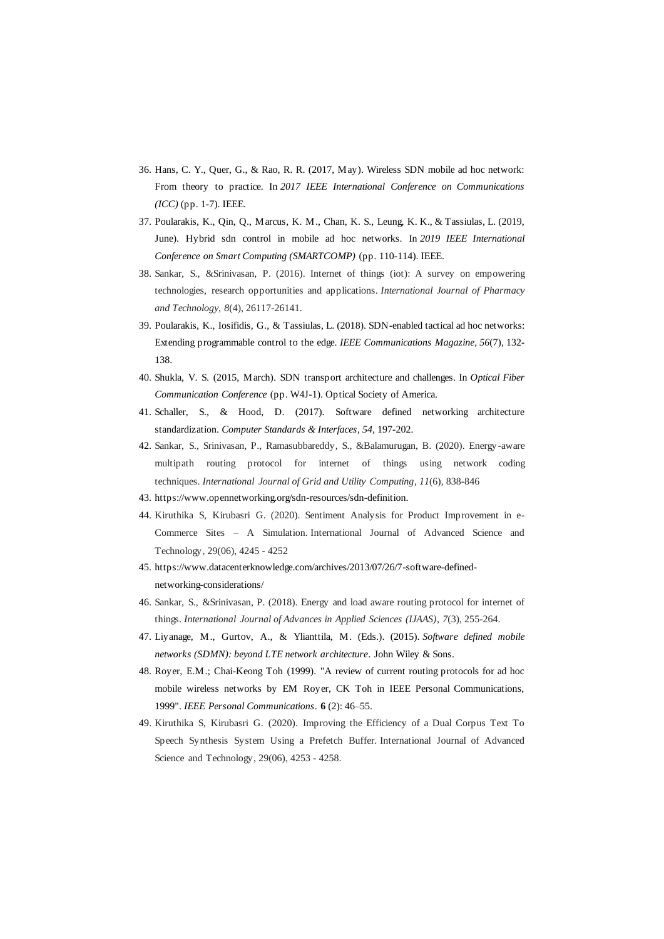- 36. Hans, C. Y., Quer, G., & Rao, R. R. (2017, May). Wireless SDN mobile ad hoc network: From theory to practice. In *2017 IEEE International Conference on Communications (ICC)* (pp. 1-7). IEEE.
- 37. Poularakis, K., Qin, Q., Marcus, K. M., Chan, K. S., Leung, K. K., & Tassiulas, L. (2019, June). Hybrid sdn control in mobile ad hoc networks. In *2019 IEEE International Conference on Smart Computing (SMARTCOMP)* (pp. 110-114). IEEE.
- 38. Sankar, S., &Srinivasan, P. (2016). Internet of things (iot): A survey on empowering technologies, research opportunities and applications. *International Journal of Pharmacy and Technology*, *8*(4), 26117-26141.
- 39. Poularakis, K., Iosifidis, G., & Tassiulas, L. (2018). SDN-enabled tactical ad hoc networks: Extending programmable control to the edge. *IEEE Communications Magazine*, *56*(7), 132- 138.
- 40. Shukla, V. S. (2015, March). SDN transport architecture and challenges. In *Optical Fiber Communication Conference* (pp. W4J-1). Optical Society of America.
- 41. Schaller, S., & Hood, D. (2017). Software defined networking architecture standardization. *Computer Standards & Interfaces*, *54*, 197-202.
- 42. Sankar, S., Srinivasan, P., Ramasubbareddy, S., &Balamurugan, B. (2020). Energy -aware multipath routing protocol for internet of things using network coding techniques. *International Journal of Grid and Utility Computing*, *11*(6), 838-846
- 43. https://www.opennetworking.org/sdn-resources/sdn-definition.
- 44. Kiruthika S, Kirubasri G. (2020). Sentiment Analysis for Product Improvement in e-Commerce Sites – A Simulation. International Journal of Advanced Science and Technology, 29(06), 4245 - 4252
- 45. https://www.datacenterknowledge.com/archives/2013/07/26/7-software-definednetworking-considerations/
- 46. Sankar, S., &Srinivasan, P. (2018). Energy and load aware routing protocol for internet of things. *International Journal of Advances in Applied Sciences (IJAAS)*, *7*(3), 255-264.
- 47. Liyanage, M., Gurtov, A., & Ylianttila, M. (Eds.). (2015). *Software defined mobile networks (SDMN): beyond LTE network architecture*. John Wiley & Sons.
- 48. Royer, E.M.; Chai-Keong Toh (1999). "A review of current routing protocols for ad hoc mobile wireless networks by EM Royer, CK Toh in IEEE Personal Communications, 1999". *IEEE Personal Communications*. **6** (2): 46–55.
- 49. Kiruthika S, Kirubasri G. (2020). Improving the Efficiency of a Dual Corpus Text To Speech Synthesis System Using a Prefetch Buffer. International Journal of Advanced Science and Technology, 29(06), 4253 - 4258.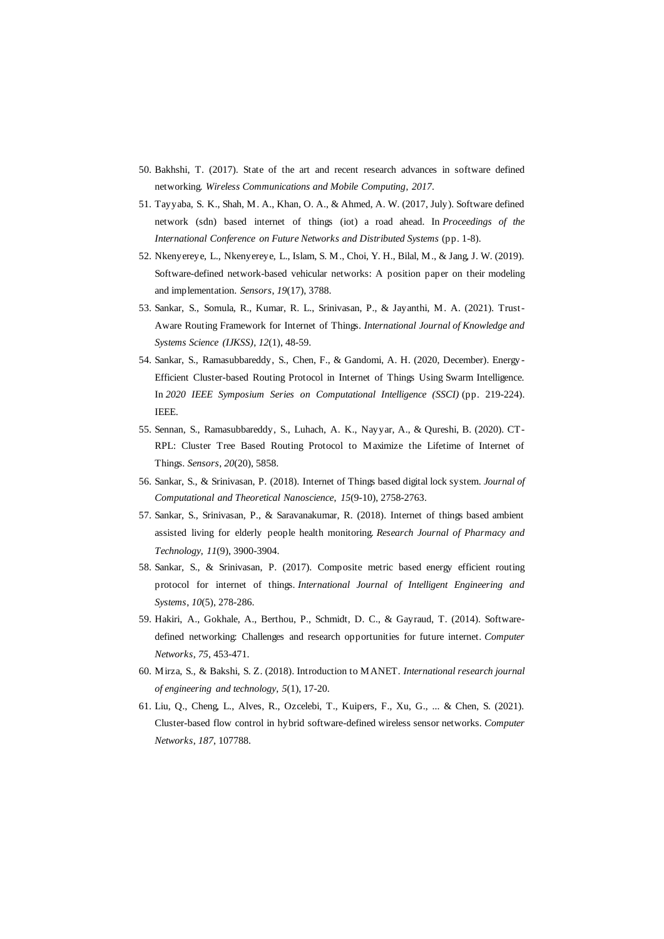- 50. Bakhshi, T. (2017). State of the art and recent research advances in software defined networking. *Wireless Communications and Mobile Computing*, *2017*.
- 51. Tayyaba, S. K., Shah, M. A., Khan, O. A., & Ahmed, A. W. (2017, July). Software defined network (sdn) based internet of things (iot) a road ahead. In *Proceedings of the International Conference on Future Networks and Distributed Systems* (pp. 1-8).
- 52. Nkenyereye, L., Nkenyereye, L., Islam, S. M., Choi, Y. H., Bilal, M., & Jang, J. W. (2019). Software-defined network-based vehicular networks: A position paper on their modeling and implementation. *Sensors*, *19*(17), 3788.
- 53. Sankar, S., Somula, R., Kumar, R. L., Srinivasan, P., & Jayanthi, M. A. (2021). Trust-Aware Routing Framework for Internet of Things. *International Journal of Knowledge and Systems Science (IJKSS)*, *12*(1), 48-59.
- 54. Sankar, S., Ramasubbareddy, S., Chen, F., & Gandomi, A. H. (2020, December). Energy Efficient Cluster-based Routing Protocol in Internet of Things Using Swarm Intelligence. In *2020 IEEE Symposium Series on Computational Intelligence (SSCI)* (pp. 219-224). IEEE.
- 55. Sennan, S., Ramasubbareddy, S., Luhach, A. K., Nayyar, A., & Qureshi, B. (2020). CT-RPL: Cluster Tree Based Routing Protocol to Maximize the Lifetime of Internet of Things. *Sensors*, *20*(20), 5858.
- 56. Sankar, S., & Srinivasan, P. (2018). Internet of Things based digital lock system. *Journal of Computational and Theoretical Nanoscience*, *15*(9-10), 2758-2763.
- 57. Sankar, S., Srinivasan, P., & Saravanakumar, R. (2018). Internet of things based ambient assisted living for elderly people health monitoring. *Research Journal of Pharmacy and Technology*, *11*(9), 3900-3904.
- 58. Sankar, S., & Srinivasan, P. (2017). Composite metric based energy efficient routing protocol for internet of things. *International Journal of Intelligent Engineering and Systems*, *10*(5), 278-286.
- 59. Hakiri, A., Gokhale, A., Berthou, P., Schmidt, D. C., & Gayraud, T. (2014). Softwaredefined networking: Challenges and research opportunities for future internet. *Computer Networks*, *75*, 453-471.
- 60. Mirza, S., & Bakshi, S. Z. (2018). Introduction to MANET. *International research journal of engineering and technology*, *5*(1), 17-20.
- 61. Liu, Q., Cheng, L., Alves, R., Ozcelebi, T., Kuipers, F., Xu, G., ... & Chen, S. (2021). Cluster-based flow control in hybrid software-defined wireless sensor networks. *Computer Networks*, *187*, 107788.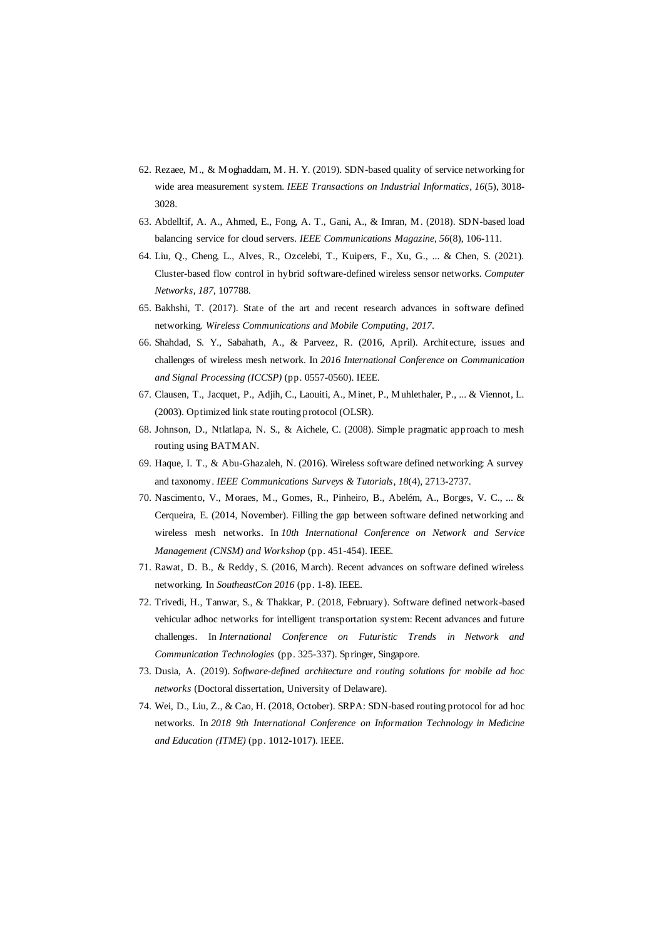- 62. Rezaee, M., & Moghaddam, M. H. Y. (2019). SDN-based quality of service networking for wide area measurement system. *IEEE Transactions on Industrial Informatics*, *16*(5), 3018- 3028.
- 63. Abdelltif, A. A., Ahmed, E., Fong, A. T., Gani, A., & Imran, M. (2018). SDN-based load balancing service for cloud servers. *IEEE Communications Magazine*, *56*(8), 106-111.
- 64. Liu, Q., Cheng, L., Alves, R., Ozcelebi, T., Kuipers, F., Xu, G., ... & Chen, S. (2021). Cluster-based flow control in hybrid software-defined wireless sensor networks. *Computer Networks*, *187*, 107788.
- 65. Bakhshi, T. (2017). State of the art and recent research advances in software defined networking. *Wireless Communications and Mobile Computing*, *2017*.
- 66. Shahdad, S. Y., Sabahath, A., & Parveez, R. (2016, April). Archit ecture, issues and challenges of wireless mesh network. In *2016 International Conference on Communication and Signal Processing (ICCSP)* (pp. 0557-0560). IEEE.
- 67. Clausen, T., Jacquet, P., Adjih, C., Laouiti, A., Minet, P., Muhlethaler, P., ... & Viennot, L. (2003). Optimized link state routing protocol (OLSR).
- 68. Johnson, D., Ntlatlapa, N. S., & Aichele, C. (2008). Simple pragmatic approach to mesh routing using BATMAN.
- 69. Haque, I. T., & Abu-Ghazaleh, N. (2016). Wireless software defined networking: A survey and taxonomy. *IEEE Communications Surveys & Tutorials*, *18*(4), 2713-2737.
- 70. Nascimento, V., Moraes, M., Gomes, R., Pinheiro, B., Abelém, A., Borges, V. C., ... & Cerqueira, E. (2014, November). Filling the gap between software defined networking and wireless mesh networks. In *10th International Conference on Network and Service Management (CNSM) and Workshop* (pp. 451-454). IEEE.
- 71. Rawat, D. B., & Reddy, S. (2016, March). Recent advances on software defined wireless networking. In *SoutheastCon 2016* (pp. 1-8). IEEE.
- 72. Trivedi, H., Tanwar, S., & Thakkar, P. (2018, February). Software defined network-based vehicular adhoc networks for intelligent transportation system: Recent advances and future challenges. In *International Conference on Futuristic Trends in Network and Communication Technologies* (pp. 325-337). Springer, Singapore.
- 73. Dusia, A. (2019). *Software-defined architecture and routing solutions for mobile ad hoc networks* (Doctoral dissertation, University of Delaware).
- 74. Wei, D., Liu, Z., & Cao, H. (2018, October). SRPA: SDN-based routing protocol for ad hoc networks. In *2018 9th International Conference on Information Technology in Medicine and Education (ITME)* (pp. 1012-1017). IEEE.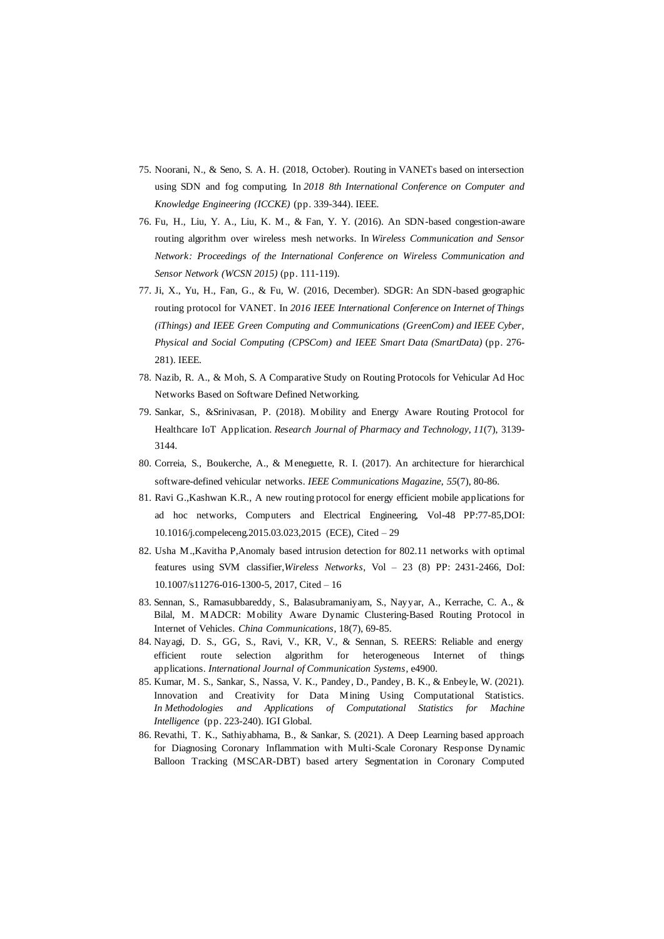- 75. Noorani, N., & Seno, S. A. H. (2018, October). Routing in VANETs based on intersection using SDN and fog computing. In *2018 8th International Conference on Computer and Knowledge Engineering (ICCKE)* (pp. 339-344). IEEE.
- 76. Fu, H., Liu, Y. A., Liu, K. M., & Fan, Y. Y. (2016). An SDN-based congestion-aware routing algorithm over wireless mesh networks. In *Wireless Communication and Sensor Network: Proceedings of the International Conference on Wireless Communication and Sensor Network (WCSN 2015)* (pp. 111-119).
- 77. Ji, X., Yu, H., Fan, G., & Fu, W. (2016, December). SDGR: An SDN-based geographic routing protocol for VANET. In *2016 IEEE International Conference on Internet of Things (iThings) and IEEE Green Computing and Communications (GreenCom) and IEEE Cyber, Physical and Social Computing (CPSCom) and IEEE Smart Data (SmartData)* (pp. 276- 281). IEEE.
- 78. Nazib, R. A., & Moh, S. A Comparative Study on Routing Protocols for Vehicular Ad Hoc Networks Based on Software Defined Networking.
- 79. Sankar, S., &Srinivasan, P. (2018). Mobility and Energy Aware Routing Protocol for Healthcare IoT Application. *Research Journal of Pharmacy and Technology*, *11*(7), 3139- 3144.
- 80. Correia, S., Boukerche, A., & Meneguette, R. I. (2017). An architecture for hierarchical software-defined vehicular networks. *IEEE Communications Magazine*, *55*(7), 80-86.
- 81. Ravi G.,Kashwan K.R., A new routing protocol for energy efficient mobile applications for ad hoc networks, Computers and Electrical Engineering, Vol-48 PP:77-85,DOI: 10.1016/j.compeleceng.2015.03.023,2015 (ECE), Cited – 29
- 82. Usha M.,Kavitha P,Anomaly based intrusion detection for 802.11 networks with optimal features using SVM classifier,*Wireless Networks*, Vol – 23 (8) PP: 2431-2466, DoI: 10.1007/s11276-016-1300-5, 2017, Cited – 16
- 83. Sennan, S., Ramasubbareddy, S., Balasubramaniyam, S., Nayyar, A., Kerrache, C. A., & Bilal, M. MADCR: Mobility Aware Dynamic Clustering-Based Routing Protocol in Internet of Vehicles. *China Communications*, 18(7), 69-85.
- 84. Nayagi, D. S., GG, S., Ravi, V., KR, V., & Sennan, S. REERS: Reliable and energy efficient route selection algorithm for heterogeneous Internet of things applications. *International Journal of Communication Systems*, e4900.
- 85. Kumar, M. S., Sankar, S., Nassa, V. K., Pandey, D., Pandey, B. K., & Enbeyle, W. (2021). Innovation and Creativity for Data Mining Using Computational Statistics. *In Methodologies and Applications of Computational Statistics for Machine Intelligence* (pp. 223-240). IGI Global.
- 86. Revathi, T. K., Sathiyabhama, B., & Sankar, S. (2021). A Deep Learning based approach for Diagnosing Coronary Inflammation with Multi-Scale Coronary Response Dynamic Balloon Tracking (MSCAR-DBT) based artery Segmentation in Coronary Computed